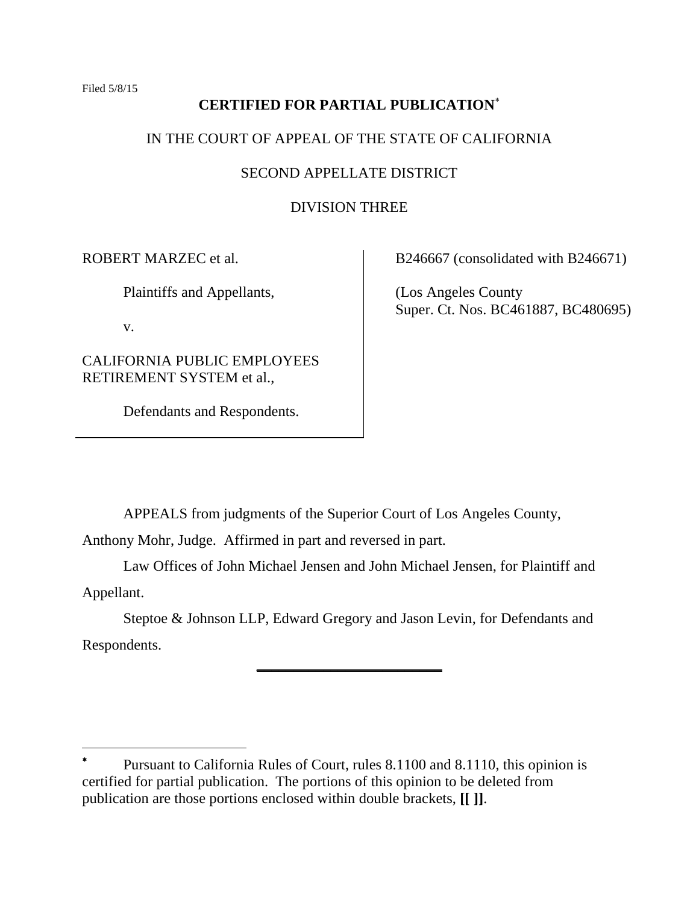Filed 5/8/15

# **CERTIFIED FOR PARTIAL PUBLICATION**

# IN THE COURT OF APPEAL OF THE STATE OF CALIFORNIA

## SECOND APPELLATE DISTRICT

## DIVISION THREE

ROBERT MARZEC et al.

Plaintiffs and Appellants,

v.

 $\overline{a}$ 

CALIFORNIA PUBLIC EMPLOYEES RETIREMENT SYSTEM et al.,

Defendants and Respondents.

B246667 (consolidated with B246671)

(Los Angeles County Super. Ct. Nos. BC461887, BC480695)

APPEALS from judgments of the Superior Court of Los Angeles County,

Anthony Mohr, Judge. Affirmed in part and reversed in part.

Law Offices of John Michael Jensen and John Michael Jensen, for Plaintiff and Appellant.

Steptoe & Johnson LLP, Edward Gregory and Jason Levin, for Defendants and Respondents.

**\_\_\_\_\_\_\_\_\_\_\_\_\_\_\_\_\_\_\_\_\_\_\_\_\_**

<sup>\*</sup> Pursuant to California Rules of Court, rules 8.1100 and 8.1110, this opinion is certified for partial publication. The portions of this opinion to be deleted from publication are those portions enclosed within double brackets, **[[ ]]**.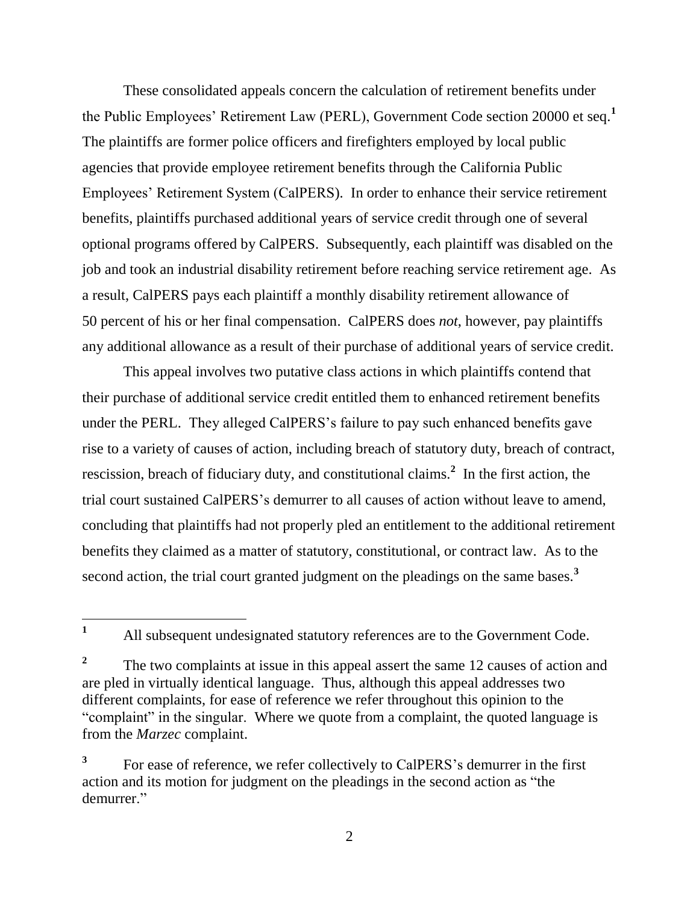These consolidated appeals concern the calculation of retirement benefits under the Public Employees' Retirement Law (PERL), Government Code section 20000 et seq.**<sup>1</sup>** The plaintiffs are former police officers and firefighters employed by local public agencies that provide employee retirement benefits through the California Public Employees' Retirement System (CalPERS). In order to enhance their service retirement benefits, plaintiffs purchased additional years of service credit through one of several optional programs offered by CalPERS. Subsequently, each plaintiff was disabled on the job and took an industrial disability retirement before reaching service retirement age. As a result, CalPERS pays each plaintiff a monthly disability retirement allowance of 50 percent of his or her final compensation. CalPERS does *not*, however, pay plaintiffs any additional allowance as a result of their purchase of additional years of service credit.

This appeal involves two putative class actions in which plaintiffs contend that their purchase of additional service credit entitled them to enhanced retirement benefits under the PERL. They alleged CalPERS's failure to pay such enhanced benefits gave rise to a variety of causes of action, including breach of statutory duty, breach of contract, rescission, breach of fiduciary duty, and constitutional claims.**<sup>2</sup>** In the first action, the trial court sustained CalPERS's demurrer to all causes of action without leave to amend, concluding that plaintiffs had not properly pled an entitlement to the additional retirement benefits they claimed as a matter of statutory, constitutional, or contract law. As to the second action, the trial court granted judgment on the pleadings on the same bases.**<sup>3</sup>**

 $\mathbf{1}$ **<sup>1</sup>** All subsequent undesignated statutory references are to the Government Code.

**<sup>2</sup>** The two complaints at issue in this appeal assert the same 12 causes of action and are pled in virtually identical language. Thus, although this appeal addresses two different complaints, for ease of reference we refer throughout this opinion to the "complaint" in the singular. Where we quote from a complaint, the quoted language is from the *Marzec* complaint.

**<sup>3</sup>** For ease of reference, we refer collectively to CalPERS's demurrer in the first action and its motion for judgment on the pleadings in the second action as "the demurrer."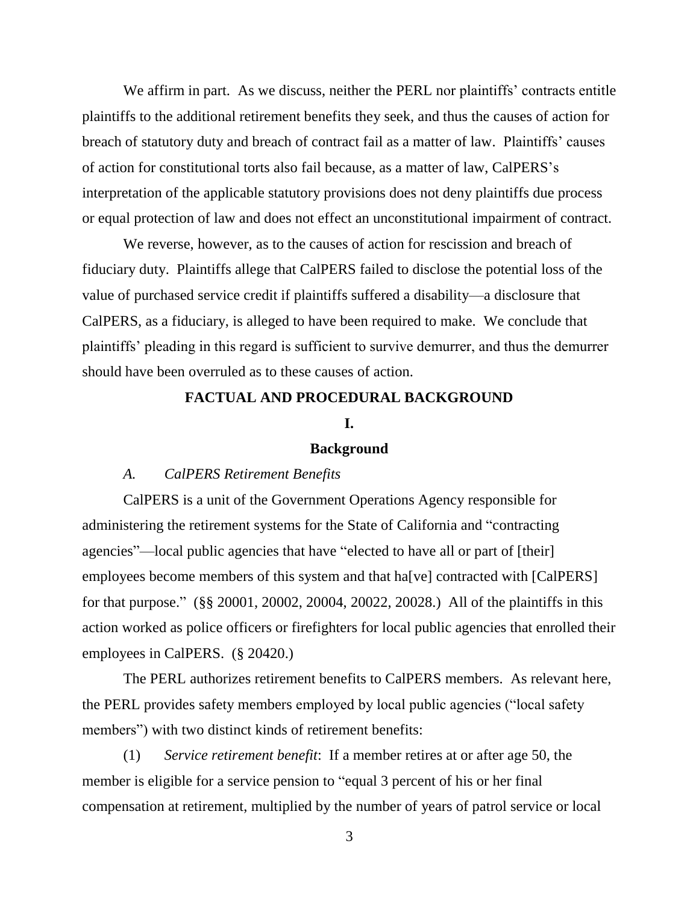We affirm in part. As we discuss, neither the PERL nor plaintiffs' contracts entitle plaintiffs to the additional retirement benefits they seek, and thus the causes of action for breach of statutory duty and breach of contract fail as a matter of law. Plaintiffs' causes of action for constitutional torts also fail because, as a matter of law, CalPERS's interpretation of the applicable statutory provisions does not deny plaintiffs due process or equal protection of law and does not effect an unconstitutional impairment of contract.

We reverse, however, as to the causes of action for rescission and breach of fiduciary duty. Plaintiffs allege that CalPERS failed to disclose the potential loss of the value of purchased service credit if plaintiffs suffered a disability—a disclosure that CalPERS, as a fiduciary, is alleged to have been required to make. We conclude that plaintiffs' pleading in this regard is sufficient to survive demurrer, and thus the demurrer should have been overruled as to these causes of action.

## **FACTUAL AND PROCEDURAL BACKGROUND**

### **I.**

## **Background**

### *A. CalPERS Retirement Benefits*

CalPERS is a unit of the Government Operations Agency responsible for administering the retirement systems for the State of California and "contracting agencies"—local public agencies that have "elected to have all or part of [their] employees become members of this system and that ha<sup>[ve]</sup> contracted with [CalPERS] for that purpose." (§§ 20001, 20002, 20004, 20022, 20028.) All of the plaintiffs in this action worked as police officers or firefighters for local public agencies that enrolled their employees in CalPERS. (§ 20420.)

The PERL authorizes retirement benefits to CalPERS members. As relevant here, the PERL provides safety members employed by local public agencies ("local safety members") with two distinct kinds of retirement benefits:

(1) *Service retirement benefit*: If a member retires at or after age 50, the member is eligible for a service pension to "equal 3 percent of his or her final compensation at retirement, multiplied by the number of years of patrol service or local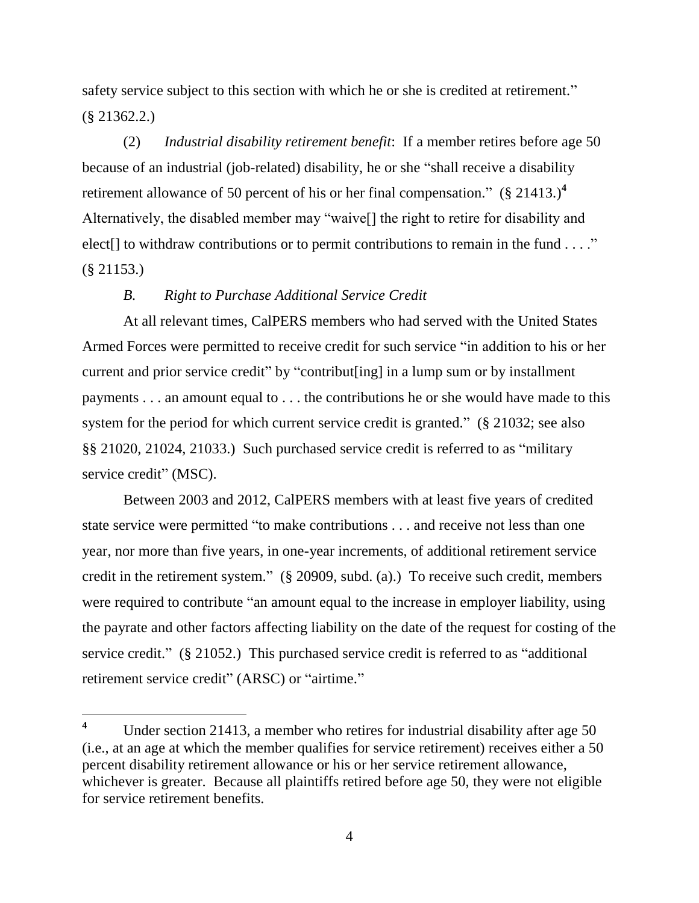safety service subject to this section with which he or she is credited at retirement." (§ 21362.2.)

(2) *Industrial disability retirement benefit*: If a member retires before age 50 because of an industrial (job-related) disability, he or she "shall receive a disability retirement allowance of 50 percent of his or her final compensation." (§ 21413.)**<sup>4</sup>** Alternatively, the disabled member may "waive[] the right to retire for disability and elect<sup>[]</sup> to withdraw contributions or to permit contributions to remain in the fund . . . ." (§ 21153.)

## *B. Right to Purchase Additional Service Credit*

At all relevant times, CalPERS members who had served with the United States Armed Forces were permitted to receive credit for such service "in addition to his or her current and prior service credit" by "contribut[ing] in a lump sum or by installment payments . . . an amount equal to . . . the contributions he or she would have made to this system for the period for which current service credit is granted." (§ 21032; see also §§ 21020, 21024, 21033.) Such purchased service credit is referred to as "military service credit" (MSC).

Between 2003 and 2012, CalPERS members with at least five years of credited state service were permitted "to make contributions . . . and receive not less than one year, nor more than five years, in one-year increments, of additional retirement service credit in the retirement system." (§ 20909, subd. (a).) To receive such credit, members were required to contribute "an amount equal to the increase in employer liability, using the payrate and other factors affecting liability on the date of the request for costing of the service credit." (§ 21052.) This purchased service credit is referred to as "additional retirement service credit" (ARSC) or "airtime."

<sup>&</sup>lt;sup>4</sup> Under section 21413, a member who retires for industrial disability after age 50 (i.e., at an age at which the member qualifies for service retirement) receives either a 50 percent disability retirement allowance or his or her service retirement allowance, whichever is greater. Because all plaintiffs retired before age 50, they were not eligible for service retirement benefits.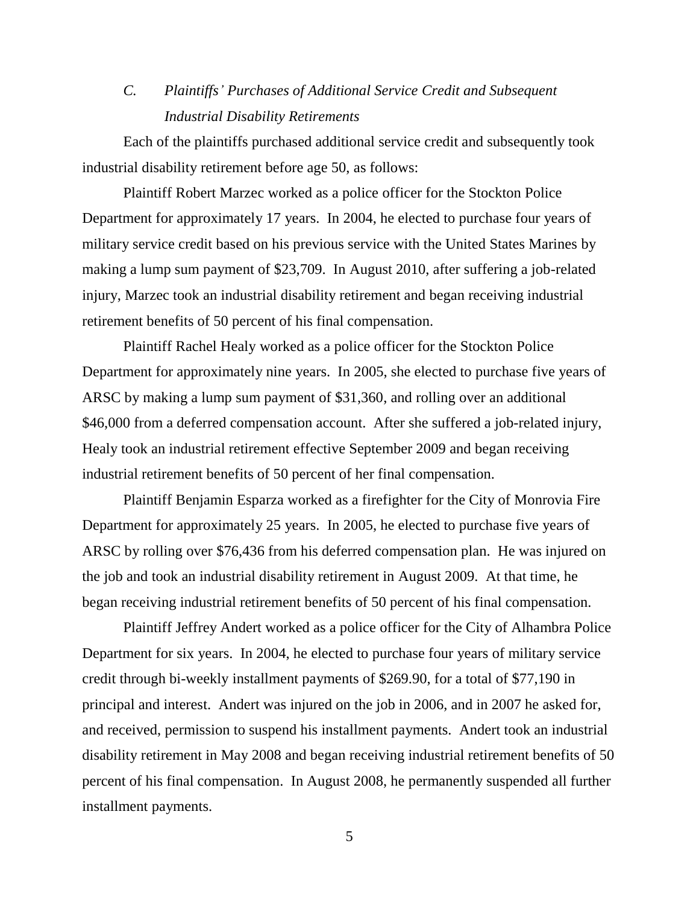# *C. Plaintiffs' Purchases of Additional Service Credit and Subsequent Industrial Disability Retirements*

Each of the plaintiffs purchased additional service credit and subsequently took industrial disability retirement before age 50, as follows:

Plaintiff Robert Marzec worked as a police officer for the Stockton Police Department for approximately 17 years. In 2004, he elected to purchase four years of military service credit based on his previous service with the United States Marines by making a lump sum payment of \$23,709. In August 2010, after suffering a job-related injury, Marzec took an industrial disability retirement and began receiving industrial retirement benefits of 50 percent of his final compensation.

Plaintiff Rachel Healy worked as a police officer for the Stockton Police Department for approximately nine years. In 2005, she elected to purchase five years of ARSC by making a lump sum payment of \$31,360, and rolling over an additional \$46,000 from a deferred compensation account. After she suffered a job-related injury, Healy took an industrial retirement effective September 2009 and began receiving industrial retirement benefits of 50 percent of her final compensation.

Plaintiff Benjamin Esparza worked as a firefighter for the City of Monrovia Fire Department for approximately 25 years. In 2005, he elected to purchase five years of ARSC by rolling over \$76,436 from his deferred compensation plan. He was injured on the job and took an industrial disability retirement in August 2009. At that time, he began receiving industrial retirement benefits of 50 percent of his final compensation.

Plaintiff Jeffrey Andert worked as a police officer for the City of Alhambra Police Department for six years. In 2004, he elected to purchase four years of military service credit through bi-weekly installment payments of \$269.90, for a total of \$77,190 in principal and interest. Andert was injured on the job in 2006, and in 2007 he asked for, and received, permission to suspend his installment payments. Andert took an industrial disability retirement in May 2008 and began receiving industrial retirement benefits of 50 percent of his final compensation. In August 2008, he permanently suspended all further installment payments.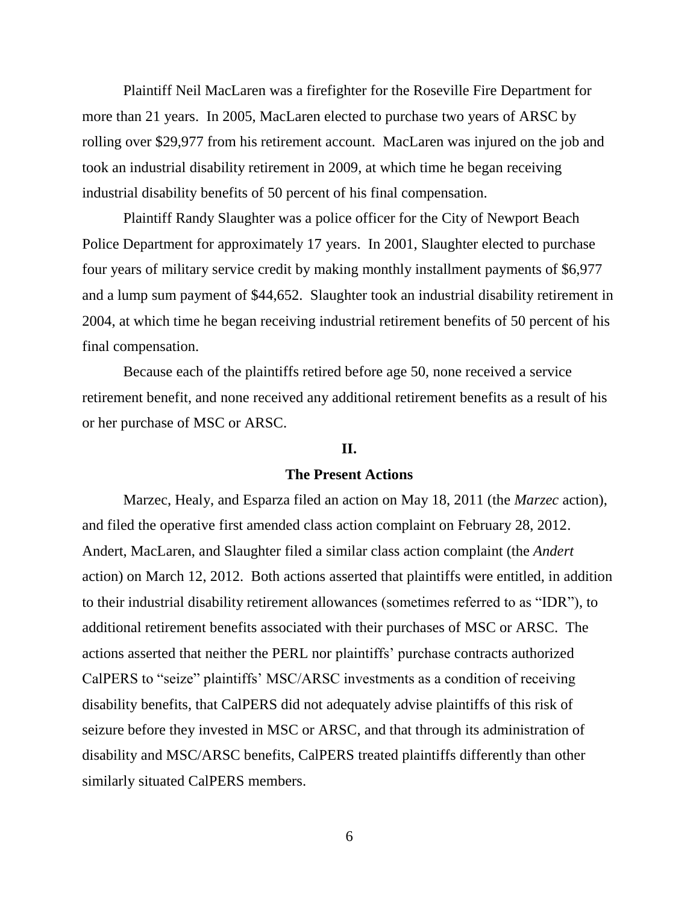Plaintiff Neil MacLaren was a firefighter for the Roseville Fire Department for more than 21 years. In 2005, MacLaren elected to purchase two years of ARSC by rolling over \$29,977 from his retirement account. MacLaren was injured on the job and took an industrial disability retirement in 2009, at which time he began receiving industrial disability benefits of 50 percent of his final compensation.

Plaintiff Randy Slaughter was a police officer for the City of Newport Beach Police Department for approximately 17 years. In 2001, Slaughter elected to purchase four years of military service credit by making monthly installment payments of \$6,977 and a lump sum payment of \$44,652. Slaughter took an industrial disability retirement in 2004, at which time he began receiving industrial retirement benefits of 50 percent of his final compensation.

Because each of the plaintiffs retired before age 50, none received a service retirement benefit, and none received any additional retirement benefits as a result of his or her purchase of MSC or ARSC.

### **II.**

### **The Present Actions**

Marzec, Healy, and Esparza filed an action on May 18, 2011 (the *Marzec* action), and filed the operative first amended class action complaint on February 28, 2012. Andert, MacLaren, and Slaughter filed a similar class action complaint (the *Andert* action) on March 12, 2012. Both actions asserted that plaintiffs were entitled, in addition to their industrial disability retirement allowances (sometimes referred to as "IDR"), to additional retirement benefits associated with their purchases of MSC or ARSC. The actions asserted that neither the PERL nor plaintiffs' purchase contracts authorized CalPERS to "seize" plaintiffs' MSC/ARSC investments as a condition of receiving disability benefits, that CalPERS did not adequately advise plaintiffs of this risk of seizure before they invested in MSC or ARSC, and that through its administration of disability and MSC/ARSC benefits, CalPERS treated plaintiffs differently than other similarly situated CalPERS members.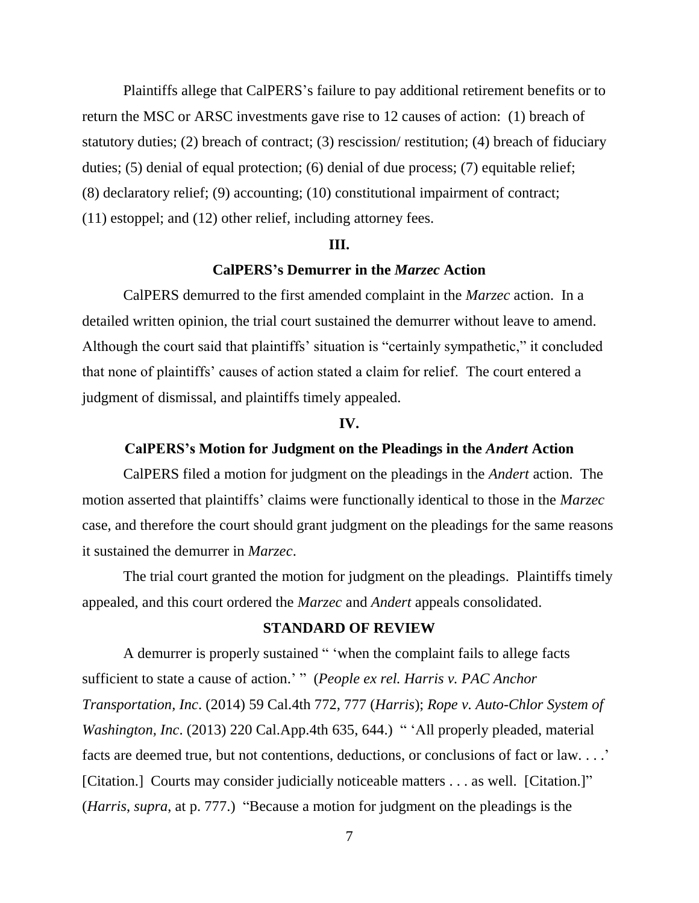Plaintiffs allege that CalPERS's failure to pay additional retirement benefits or to return the MSC or ARSC investments gave rise to 12 causes of action: (1) breach of statutory duties; (2) breach of contract; (3) rescission/ restitution; (4) breach of fiduciary duties; (5) denial of equal protection; (6) denial of due process; (7) equitable relief; (8) declaratory relief; (9) accounting; (10) constitutional impairment of contract; (11) estoppel; and (12) other relief, including attorney fees.

### **III.**

### **CalPERS's Demurrer in the** *Marzec* **Action**

CalPERS demurred to the first amended complaint in the *Marzec* action. In a detailed written opinion, the trial court sustained the demurrer without leave to amend. Although the court said that plaintiffs' situation is "certainly sympathetic," it concluded that none of plaintiffs' causes of action stated a claim for relief. The court entered a judgment of dismissal, and plaintiffs timely appealed.

### **IV.**

## **CalPERS's Motion for Judgment on the Pleadings in the** *Andert* **Action**

CalPERS filed a motion for judgment on the pleadings in the *Andert* action. The motion asserted that plaintiffs' claims were functionally identical to those in the *Marzec* case, and therefore the court should grant judgment on the pleadings for the same reasons it sustained the demurrer in *Marzec*.

The trial court granted the motion for judgment on the pleadings. Plaintiffs timely appealed, and this court ordered the *Marzec* and *Andert* appeals consolidated.

## **STANDARD OF REVIEW**

A demurrer is properly sustained " 'when the complaint fails to allege facts sufficient to state a cause of action.' " (*People ex rel. Harris v. PAC Anchor Transportation, Inc*. (2014) 59 Cal.4th 772, 777 (*Harris*); *Rope v. Auto-Chlor System of Washington, Inc.* (2013) 220 Cal.App.4th 635, 644.) " 'All properly pleaded, material facts are deemed true, but not contentions, deductions, or conclusions of fact or law. . . .' [Citation.] Courts may consider judicially noticeable matters . . . as well. [Citation.]" (*Harris*, *supra*, at p. 777.) "Because a motion for judgment on the pleadings is the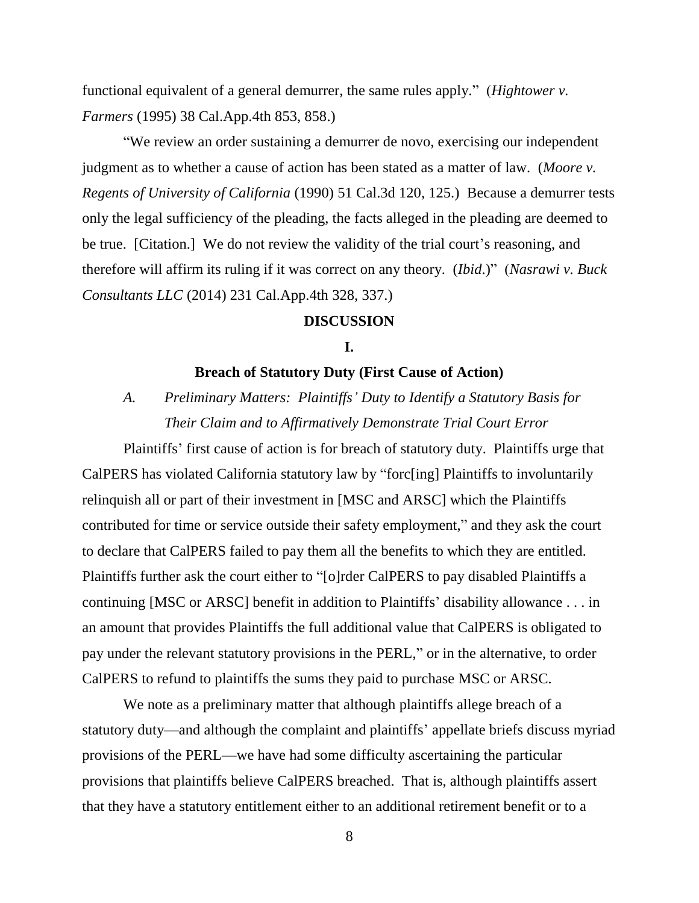functional equivalent of a general demurrer, the same rules apply." (*Hightower v. Farmers* (1995) 38 Cal.App.4th 853, 858.)

"We review an order sustaining a demurrer de novo, exercising our independent judgment as to whether a cause of action has been stated as a matter of law. (*Moore v. Regents of University of California* (1990) 51 Cal.3d 120, 125.) Because a demurrer tests only the legal sufficiency of the pleading, the facts alleged in the pleading are deemed to be true. [Citation.] We do not review the validity of the trial court's reasoning, and therefore will affirm its ruling if it was correct on any theory. (*Ibid*.)" (*Nasrawi v. Buck Consultants LLC* (2014) 231 Cal.App.4th 328, 337.)

### **DISCUSSION**

## **I.**

## **Breach of Statutory Duty (First Cause of Action)**

*A. Preliminary Matters: Plaintiffs' Duty to Identify a Statutory Basis for Their Claim and to Affirmatively Demonstrate Trial Court Error*

Plaintiffs' first cause of action is for breach of statutory duty. Plaintiffs urge that CalPERS has violated California statutory law by "forc[ing] Plaintiffs to involuntarily relinquish all or part of their investment in [MSC and ARSC] which the Plaintiffs contributed for time or service outside their safety employment," and they ask the court to declare that CalPERS failed to pay them all the benefits to which they are entitled. Plaintiffs further ask the court either to "[o]rder CalPERS to pay disabled Plaintiffs a continuing [MSC or ARSC] benefit in addition to Plaintiffs' disability allowance . . . in an amount that provides Plaintiffs the full additional value that CalPERS is obligated to pay under the relevant statutory provisions in the PERL," or in the alternative, to order CalPERS to refund to plaintiffs the sums they paid to purchase MSC or ARSC.

We note as a preliminary matter that although plaintiffs allege breach of a statutory duty—and although the complaint and plaintiffs' appellate briefs discuss myriad provisions of the PERL—we have had some difficulty ascertaining the particular provisions that plaintiffs believe CalPERS breached. That is, although plaintiffs assert that they have a statutory entitlement either to an additional retirement benefit or to a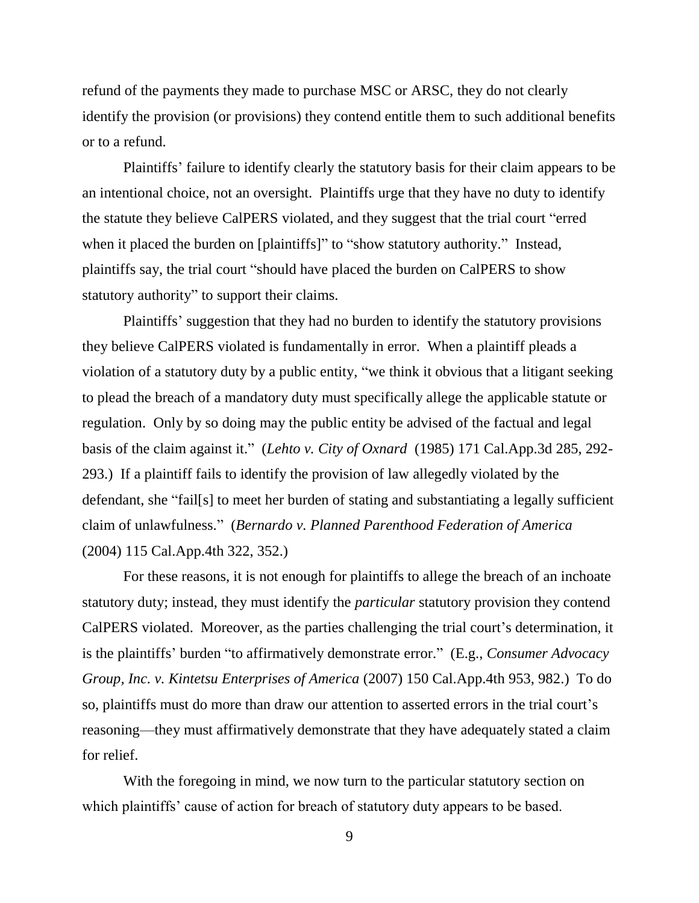refund of the payments they made to purchase MSC or ARSC, they do not clearly identify the provision (or provisions) they contend entitle them to such additional benefits or to a refund.

Plaintiffs' failure to identify clearly the statutory basis for their claim appears to be an intentional choice, not an oversight. Plaintiffs urge that they have no duty to identify the statute they believe CalPERS violated, and they suggest that the trial court "erred when it placed the burden on [plaintiffs]" to "show statutory authority." Instead, plaintiffs say, the trial court "should have placed the burden on CalPERS to show statutory authority" to support their claims.

Plaintiffs' suggestion that they had no burden to identify the statutory provisions they believe CalPERS violated is fundamentally in error. When a plaintiff pleads a violation of a statutory duty by a public entity, "we think it obvious that a litigant seeking to plead the breach of a mandatory duty must specifically allege the applicable statute or regulation. Only by so doing may the public entity be advised of the factual and legal basis of the claim against it." (*Lehto v. City of Oxnard* (1985) 171 Cal.App.3d 285, 292- 293.) If a plaintiff fails to identify the provision of law allegedly violated by the defendant, she "fail[s] to meet her burden of stating and substantiating a legally sufficient claim of unlawfulness." (*Bernardo v. Planned Parenthood Federation of America*  (2004) 115 Cal.App.4th 322, 352.)

For these reasons, it is not enough for plaintiffs to allege the breach of an inchoate statutory duty; instead, they must identify the *particular* statutory provision they contend CalPERS violated. Moreover, as the parties challenging the trial court's determination, it is the plaintiffs' burden "to affirmatively demonstrate error." (E.g., *Consumer Advocacy Group, Inc. v. Kintetsu Enterprises of America* (2007) 150 Cal.App.4th 953, 982.) To do so, plaintiffs must do more than draw our attention to asserted errors in the trial court's reasoning—they must affirmatively demonstrate that they have adequately stated a claim for relief.

With the foregoing in mind, we now turn to the particular statutory section on which plaintiffs' cause of action for breach of statutory duty appears to be based.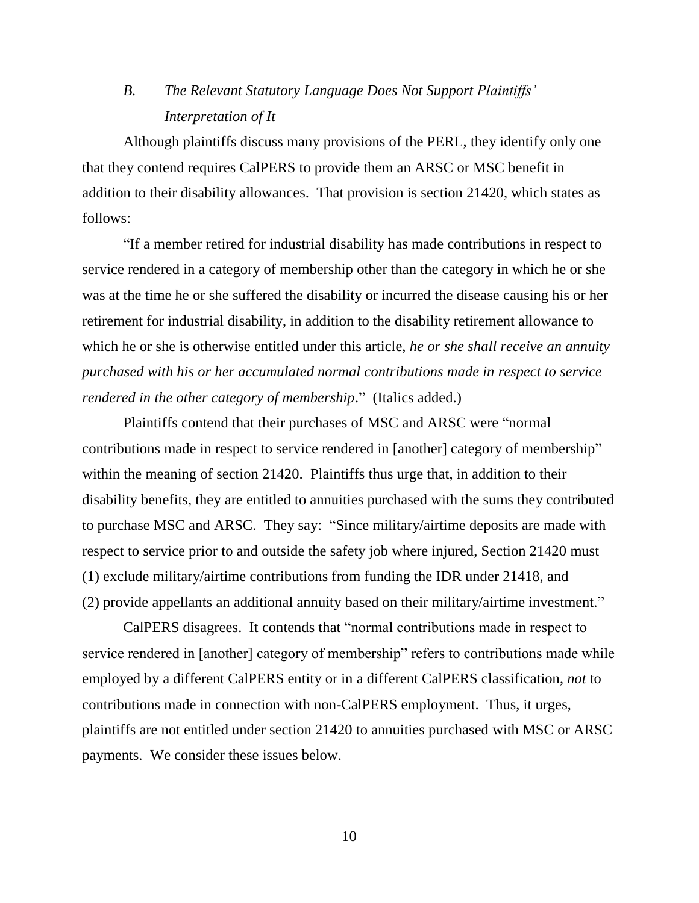# *B. The Relevant Statutory Language Does Not Support Plaintiffs' Interpretation of It*

Although plaintiffs discuss many provisions of the PERL, they identify only one that they contend requires CalPERS to provide them an ARSC or MSC benefit in addition to their disability allowances. That provision is section 21420, which states as follows:

"If a member retired for industrial disability has made contributions in respect to service rendered in a category of membership other than the category in which he or she was at the time he or she suffered the disability or incurred the disease causing his or her retirement for industrial disability, in addition to the disability retirement allowance to which he or she is otherwise entitled under this article, *he or she shall receive an annuity purchased with his or her accumulated normal contributions made in respect to service rendered in the other category of membership*." (Italics added.)

Plaintiffs contend that their purchases of MSC and ARSC were "normal contributions made in respect to service rendered in [another] category of membership" within the meaning of section 21420. Plaintiffs thus urge that, in addition to their disability benefits, they are entitled to annuities purchased with the sums they contributed to purchase MSC and ARSC. They say: "Since military/airtime deposits are made with respect to service prior to and outside the safety job where injured, Section 21420 must (1) exclude military/airtime contributions from funding the IDR under 21418, and (2) provide appellants an additional annuity based on their military/airtime investment."

CalPERS disagrees. It contends that "normal contributions made in respect to service rendered in [another] category of membership" refers to contributions made while employed by a different CalPERS entity or in a different CalPERS classification, *not* to contributions made in connection with non-CalPERS employment. Thus, it urges, plaintiffs are not entitled under section 21420 to annuities purchased with MSC or ARSC payments. We consider these issues below.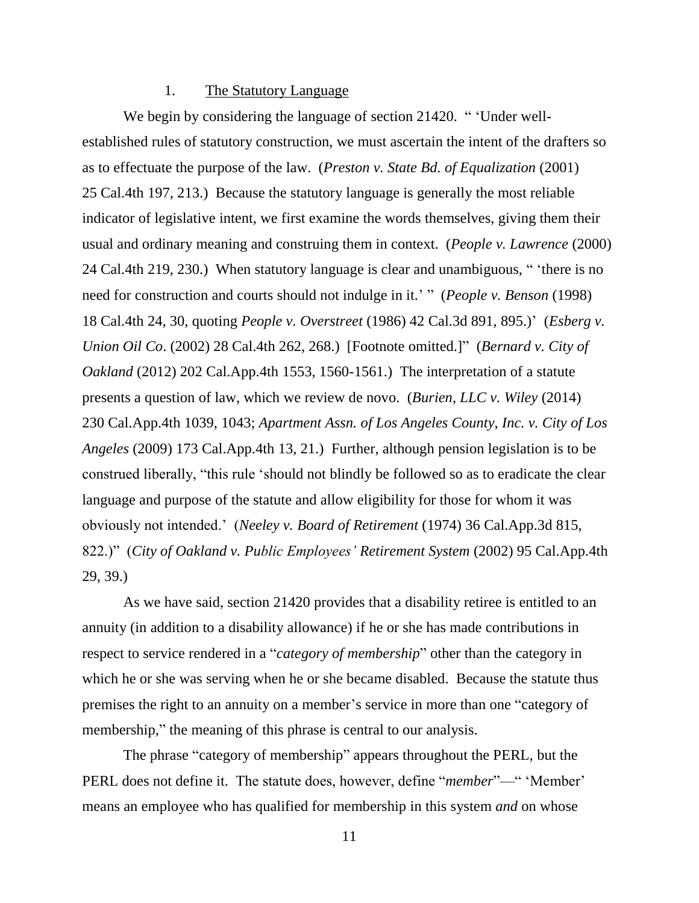### 1. The Statutory Language

We begin by considering the language of section 21420. " 'Under wellestablished rules of statutory construction, we must ascertain the intent of the drafters so as to effectuate the purpose of the law. (*Preston v. State Bd. of Equalization* (2001) 25 Cal.4th 197, 213.) Because the statutory language is generally the most reliable indicator of legislative intent, we first examine the words themselves, giving them their usual and ordinary meaning and construing them in context. (*People v. Lawrence* (2000) 24 Cal.4th 219, 230.) When statutory language is clear and unambiguous, " 'there is no need for construction and courts should not indulge in it.' " (*People v. Benson* (1998) 18 Cal.4th 24, 30, quoting *People v. Overstreet* (1986) 42 Cal.3d 891, 895.)' (*Esberg v. Union Oil Co*. (2002) 28 Cal.4th 262, 268.) [Footnote omitted.]" (*Bernard v. City of Oakland* (2012) 202 Cal.App.4th 1553, 1560-1561.) The interpretation of a statute presents a question of law, which we review de novo. (*Burien, LLC v. Wiley* (2014) 230 Cal.App.4th 1039, 1043; *Apartment Assn. of Los Angeles County, Inc. v. City of Los Angeles* (2009) 173 Cal.App.4th 13, 21.) Further, although pension legislation is to be construed liberally, "this rule 'should not blindly be followed so as to eradicate the clear language and purpose of the statute and allow eligibility for those for whom it was obviously not intended.' (*Neeley v. Board of Retirement* (1974) 36 Cal.App.3d 815, 822.)" (*City of Oakland v. Public Employees' Retirement System* (2002) 95 Cal.App.4th 29, 39.)

As we have said, section 21420 provides that a disability retiree is entitled to an annuity (in addition to a disability allowance) if he or she has made contributions in respect to service rendered in a "*category of membership*" other than the category in which he or she was serving when he or she became disabled. Because the statute thus premises the right to an annuity on a member's service in more than one "category of membership," the meaning of this phrase is central to our analysis.

The phrase "category of membership" appears throughout the PERL, but the PERL does not define it. The statute does, however, define "*member*"—" 'Member' means an employee who has qualified for membership in this system *and* on whose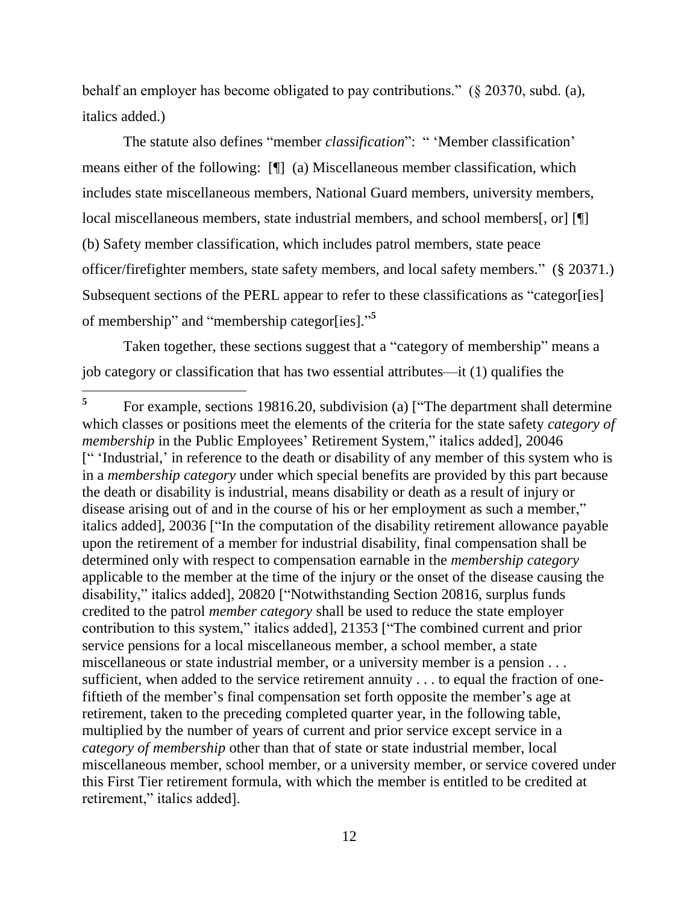behalf an employer has become obligated to pay contributions." (§ 20370, subd. (a), italics added.)

The statute also defines "member *classification*": " 'Member classification' means either of the following: [¶] (a) Miscellaneous member classification, which includes state miscellaneous members, National Guard members, university members, local miscellaneous members, state industrial members, and school members[, or] [ (b) Safety member classification, which includes patrol members, state peace officer/firefighter members, state safety members, and local safety members." (§ 20371.) Subsequent sections of the PERL appear to refer to these classifications as "categor[ies] of membership" and "membership categor[ies]." **5**

Taken together, these sections suggest that a "category of membership" means a job category or classification that has two essential attributes—it (1) qualifies the

 $\overline{a}$ 

**<sup>5</sup>** For example, sections 19816.20, subdivision (a) ["The department shall determine which classes or positions meet the elements of the criteria for the state safety *category of membership* in the Public Employees' Retirement System," italics added], 20046 [" 'Industrial,' in reference to the death or disability of any member of this system who is in a *membership category* under which special benefits are provided by this part because the death or disability is industrial, means disability or death as a result of injury or disease arising out of and in the course of his or her employment as such a member," italics added], 20036 ["In the computation of the disability retirement allowance payable upon the retirement of a member for industrial disability, final compensation shall be determined only with respect to compensation earnable in the *membership category* applicable to the member at the time of the injury or the onset of the disease causing the disability," italics added], 20820 ["Notwithstanding Section 20816, surplus funds credited to the patrol *member category* shall be used to reduce the state employer contribution to this system," italics added], 21353 ["The combined current and prior service pensions for a local miscellaneous member, a school member, a state miscellaneous or state industrial member, or a university member is a pension . . . sufficient, when added to the service retirement annuity . . . to equal the fraction of onefiftieth of the member's final compensation set forth opposite the member's age at retirement, taken to the preceding completed quarter year, in the following table, multiplied by the number of years of current and prior service except service in a *category of membership* other than that of state or state industrial member, local miscellaneous member, school member, or a university member, or service covered under this First Tier retirement formula, with which the member is entitled to be credited at retirement," italics added].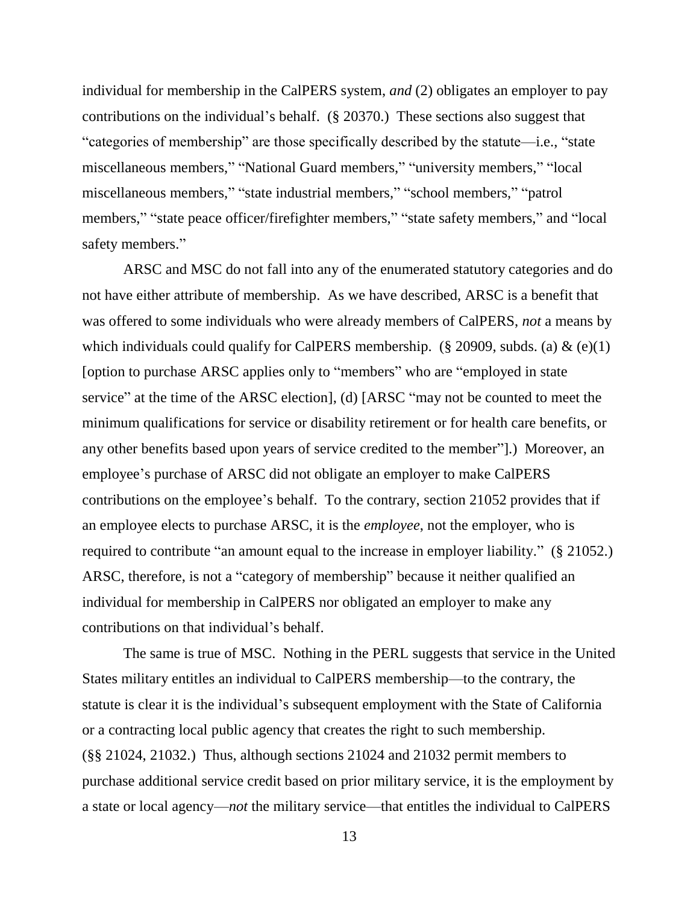individual for membership in the CalPERS system, *and* (2) obligates an employer to pay contributions on the individual's behalf. (§ 20370.) These sections also suggest that "categories of membership" are those specifically described by the statute—i.e., "state miscellaneous members," "National Guard members," "university members," "local miscellaneous members," "state industrial members," "school members," "patrol members," "state peace officer/firefighter members," "state safety members," and "local safety members."

ARSC and MSC do not fall into any of the enumerated statutory categories and do not have either attribute of membership. As we have described, ARSC is a benefit that was offered to some individuals who were already members of CalPERS, *not* a means by which individuals could qualify for CalPERS membership. (§ 20909, subds. (a)  $\&$  (e)(1) [option to purchase ARSC applies only to "members" who are "employed in state service" at the time of the ARSC election], (d) [ARSC "may not be counted to meet the minimum qualifications for service or disability retirement or for health care benefits, or any other benefits based upon years of service credited to the member"].) Moreover, an employee's purchase of ARSC did not obligate an employer to make CalPERS contributions on the employee's behalf. To the contrary, section 21052 provides that if an employee elects to purchase ARSC, it is the *employee*, not the employer, who is required to contribute "an amount equal to the increase in employer liability." (§ 21052.) ARSC, therefore, is not a "category of membership" because it neither qualified an individual for membership in CalPERS nor obligated an employer to make any contributions on that individual's behalf.

The same is true of MSC. Nothing in the PERL suggests that service in the United States military entitles an individual to CalPERS membership—to the contrary, the statute is clear it is the individual's subsequent employment with the State of California or a contracting local public agency that creates the right to such membership. (§§ 21024, 21032.) Thus, although sections 21024 and 21032 permit members to purchase additional service credit based on prior military service, it is the employment by a state or local agency—*not* the military service—that entitles the individual to CalPERS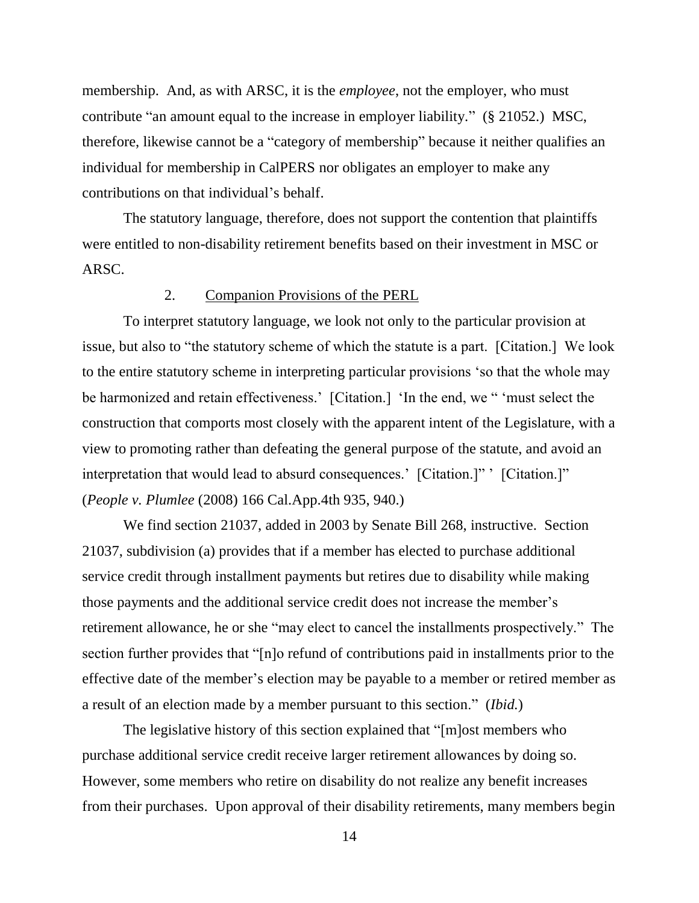membership. And, as with ARSC, it is the *employee*, not the employer, who must contribute "an amount equal to the increase in employer liability." (§ 21052.) MSC, therefore, likewise cannot be a "category of membership" because it neither qualifies an individual for membership in CalPERS nor obligates an employer to make any contributions on that individual's behalf.

The statutory language, therefore, does not support the contention that plaintiffs were entitled to non-disability retirement benefits based on their investment in MSC or ARSC.

## 2. Companion Provisions of the PERL

To interpret statutory language, we look not only to the particular provision at issue, but also to "the statutory scheme of which the statute is a part. [Citation.] We look to the entire statutory scheme in interpreting particular provisions 'so that the whole may be harmonized and retain effectiveness.' [Citation.] 'In the end, we " 'must select the construction that comports most closely with the apparent intent of the Legislature, with a view to promoting rather than defeating the general purpose of the statute, and avoid an interpretation that would lead to absurd consequences.' [Citation.]" ' [Citation.]" (*People v. Plumlee* (2008) 166 Cal.App.4th 935, 940.)

We find section 21037, added in 2003 by Senate Bill 268, instructive. Section 21037, subdivision (a) provides that if a member has elected to purchase additional service credit through installment payments but retires due to disability while making those payments and the additional service credit does not increase the member's retirement allowance, he or she "may elect to cancel the installments prospectively." The section further provides that "[n]o refund of contributions paid in installments prior to the effective date of the member's election may be payable to a member or retired member as a result of an election made by a member pursuant to this section." (*Ibid.*)

The legislative history of this section explained that "[m]ost members who purchase additional service credit receive larger retirement allowances by doing so. However, some members who retire on disability do not realize any benefit increases from their purchases. Upon approval of their disability retirements, many members begin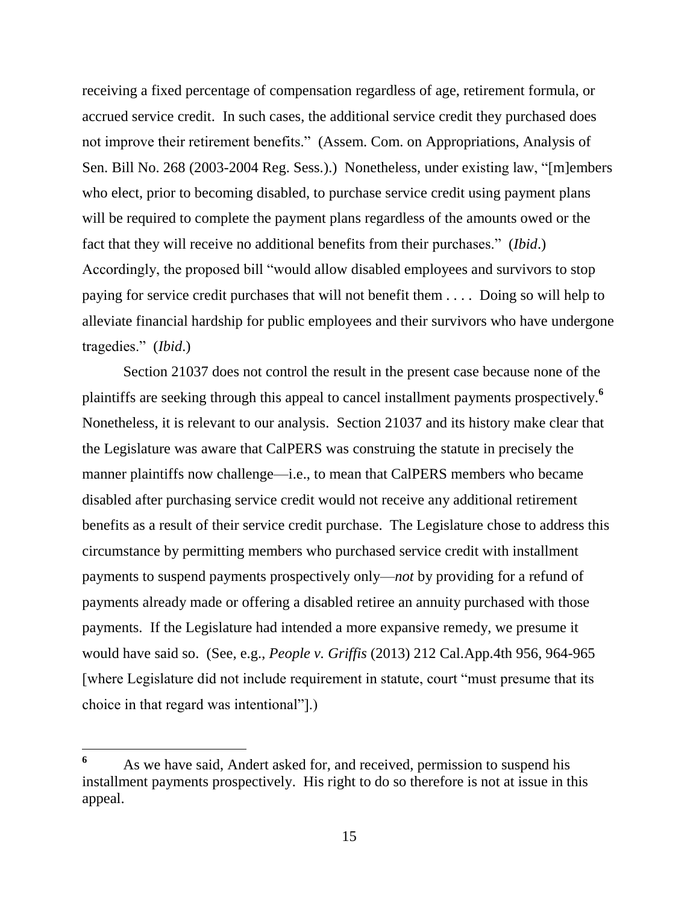receiving a fixed percentage of compensation regardless of age, retirement formula, or accrued service credit. In such cases, the additional service credit they purchased does not improve their retirement benefits." (Assem. Com. on Appropriations, Analysis of Sen. Bill No. 268 (2003-2004 Reg. Sess.).) Nonetheless, under existing law, "[m]embers who elect, prior to becoming disabled, to purchase service credit using payment plans will be required to complete the payment plans regardless of the amounts owed or the fact that they will receive no additional benefits from their purchases." (*Ibid*.) Accordingly, the proposed bill "would allow disabled employees and survivors to stop paying for service credit purchases that will not benefit them . . . . Doing so will help to alleviate financial hardship for public employees and their survivors who have undergone tragedies." (*Ibid*.)

Section 21037 does not control the result in the present case because none of the plaintiffs are seeking through this appeal to cancel installment payments prospectively. **6** Nonetheless, it is relevant to our analysis. Section 21037 and its history make clear that the Legislature was aware that CalPERS was construing the statute in precisely the manner plaintiffs now challenge—i.e., to mean that CalPERS members who became disabled after purchasing service credit would not receive any additional retirement benefits as a result of their service credit purchase. The Legislature chose to address this circumstance by permitting members who purchased service credit with installment payments to suspend payments prospectively only—*not* by providing for a refund of payments already made or offering a disabled retiree an annuity purchased with those payments. If the Legislature had intended a more expansive remedy, we presume it would have said so. (See, e.g., *People v. Griffis* (2013) 212 Cal.App.4th 956, 964-965 [where Legislature did not include requirement in statute, court "must presume that its choice in that regard was intentional"].)

**<sup>6</sup>** As we have said, Andert asked for, and received, permission to suspend his installment payments prospectively. His right to do so therefore is not at issue in this appeal.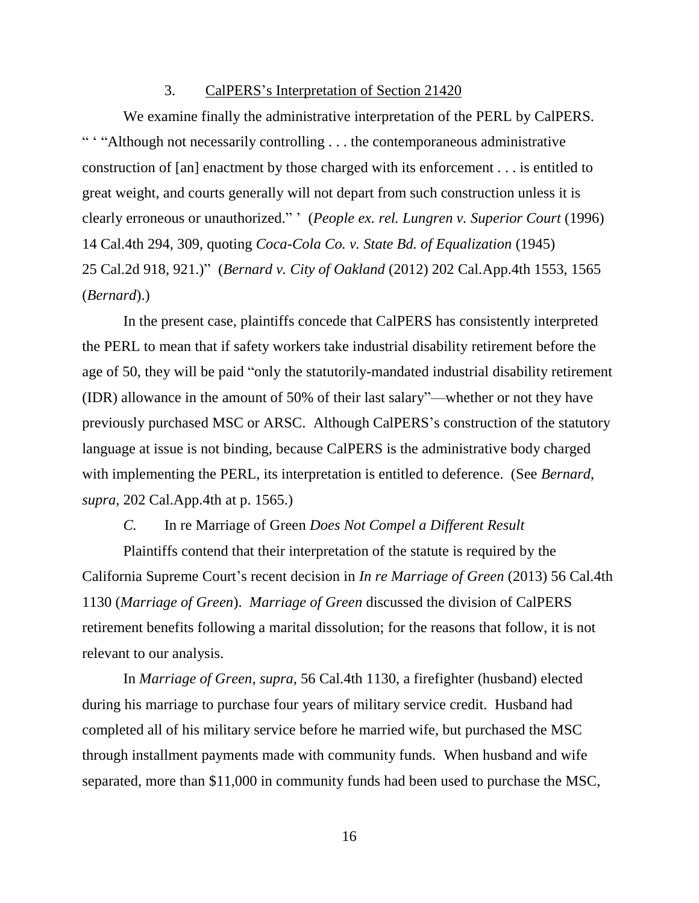### 3. CalPERS's Interpretation of Section 21420

We examine finally the administrative interpretation of the PERL by CalPERS. " "Although not necessarily controlling . . . the contemporaneous administrative construction of [an] enactment by those charged with its enforcement . . . is entitled to great weight, and courts generally will not depart from such construction unless it is clearly erroneous or unauthorized." ' (*People ex. rel. Lungren v. Superior Court* (1996) 14 Cal.4th 294, 309, quoting *Coca-Cola Co. v. State Bd. of Equalization* (1945) 25 Cal.2d 918, 921.)" (*Bernard v. City of Oakland* (2012) 202 Cal.App.4th 1553, 1565 (*Bernard*).)

In the present case, plaintiffs concede that CalPERS has consistently interpreted the PERL to mean that if safety workers take industrial disability retirement before the age of 50, they will be paid "only the statutorily-mandated industrial disability retirement (IDR) allowance in the amount of 50% of their last salary"—whether or not they have previously purchased MSC or ARSC. Although CalPERS's construction of the statutory language at issue is not binding, because CalPERS is the administrative body charged with implementing the PERL, its interpretation is entitled to deference. (See *Bernard*, *supra*, 202 Cal.App.4th at p. 1565.)

### *C.* In re Marriage of Green *Does Not Compel a Different Result*

Plaintiffs contend that their interpretation of the statute is required by the California Supreme Court's recent decision in *In re Marriage of Green* (2013) 56 Cal.4th 1130 (*Marriage of Green*). *Marriage of Green* discussed the division of CalPERS retirement benefits following a marital dissolution; for the reasons that follow, it is not relevant to our analysis.

In *Marriage of Green*, *supra*, 56 Cal.4th 1130, a firefighter (husband) elected during his marriage to purchase four years of military service credit. Husband had completed all of his military service before he married wife, but purchased the MSC through installment payments made with community funds. When husband and wife separated, more than \$11,000 in community funds had been used to purchase the MSC,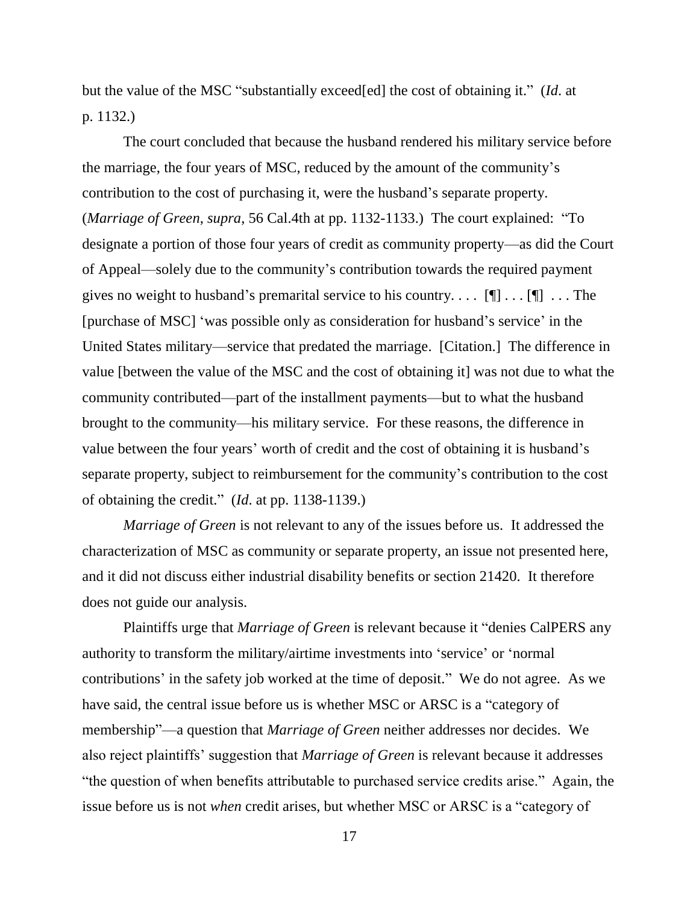but the value of the MSC "substantially exceed[ed] the cost of obtaining it." (*Id*. at p. 1132.)

The court concluded that because the husband rendered his military service before the marriage, the four years of MSC, reduced by the amount of the community's contribution to the cost of purchasing it, were the husband's separate property. (*Marriage of Green*, *supra*, 56 Cal.4th at pp. 1132-1133.) The court explained: "To designate a portion of those four years of credit as community property—as did the Court of Appeal—solely due to the community's contribution towards the required payment gives no weight to husband's premarital service to his country....  $[\P] \dots [\P] \dots$  The [purchase of MSC] 'was possible only as consideration for husband's service' in the United States military—service that predated the marriage. [Citation.] The difference in value [between the value of the MSC and the cost of obtaining it] was not due to what the community contributed—part of the installment payments—but to what the husband brought to the community—his military service. For these reasons, the difference in value between the four years' worth of credit and the cost of obtaining it is husband's separate property, subject to reimbursement for the community's contribution to the cost of obtaining the credit." (*Id*. at pp. 1138-1139.)

*Marriage of Green* is not relevant to any of the issues before us. It addressed the characterization of MSC as community or separate property, an issue not presented here, and it did not discuss either industrial disability benefits or section 21420. It therefore does not guide our analysis.

Plaintiffs urge that *Marriage of Green* is relevant because it "denies CalPERS any authority to transform the military/airtime investments into 'service' or 'normal contributions' in the safety job worked at the time of deposit." We do not agree. As we have said, the central issue before us is whether MSC or ARSC is a "category of membership"—a question that *Marriage of Green* neither addresses nor decides. We also reject plaintiffs' suggestion that *Marriage of Green* is relevant because it addresses "the question of when benefits attributable to purchased service credits arise." Again, the issue before us is not *when* credit arises, but whether MSC or ARSC is a "category of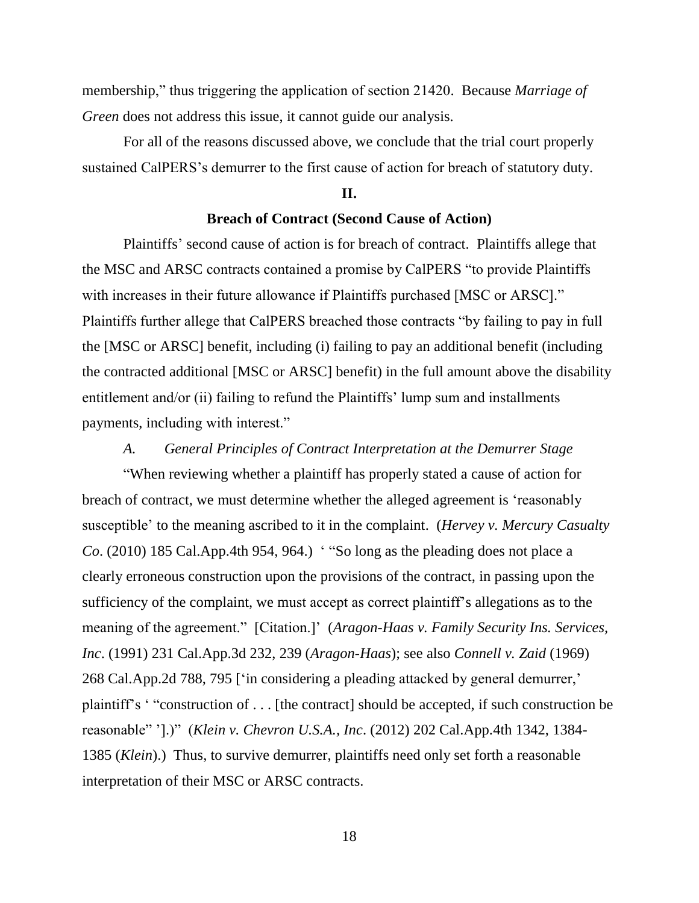membership," thus triggering the application of section 21420. Because *Marriage of Green* does not address this issue, it cannot guide our analysis.

For all of the reasons discussed above, we conclude that the trial court properly sustained CalPERS's demurrer to the first cause of action for breach of statutory duty.

### **II.**

### **Breach of Contract (Second Cause of Action)**

Plaintiffs' second cause of action is for breach of contract. Plaintiffs allege that the MSC and ARSC contracts contained a promise by CalPERS "to provide Plaintiffs with increases in their future allowance if Plaintiffs purchased [MSC or ARSC]." Plaintiffs further allege that CalPERS breached those contracts "by failing to pay in full the [MSC or ARSC] benefit, including (i) failing to pay an additional benefit (including the contracted additional [MSC or ARSC] benefit) in the full amount above the disability entitlement and/or (ii) failing to refund the Plaintiffs' lump sum and installments payments, including with interest."

## *A. General Principles of Contract Interpretation at the Demurrer Stage*

"When reviewing whether a plaintiff has properly stated a cause of action for breach of contract, we must determine whether the alleged agreement is 'reasonably susceptible' to the meaning ascribed to it in the complaint. (*Hervey v. Mercury Casualty Co*. (2010) 185 Cal.App.4th 954, 964.) ' "So long as the pleading does not place a clearly erroneous construction upon the provisions of the contract, in passing upon the sufficiency of the complaint, we must accept as correct plaintiff's allegations as to the meaning of the agreement." [Citation.]' (*Aragon-Haas v. Family Security Ins. Services, Inc*. (1991) 231 Cal.App.3d 232, 239 (*Aragon-Haas*); see also *Connell v. Zaid* (1969) 268 Cal.App.2d 788, 795 ['in considering a pleading attacked by general demurrer,' plaintiff's ' "construction of . . . [the contract] should be accepted, if such construction be reasonable" '].)" (*Klein v. Chevron U.S.A., Inc*. (2012) 202 Cal.App.4th 1342, 1384- 1385 (*Klein*).) Thus, to survive demurrer, plaintiffs need only set forth a reasonable interpretation of their MSC or ARSC contracts.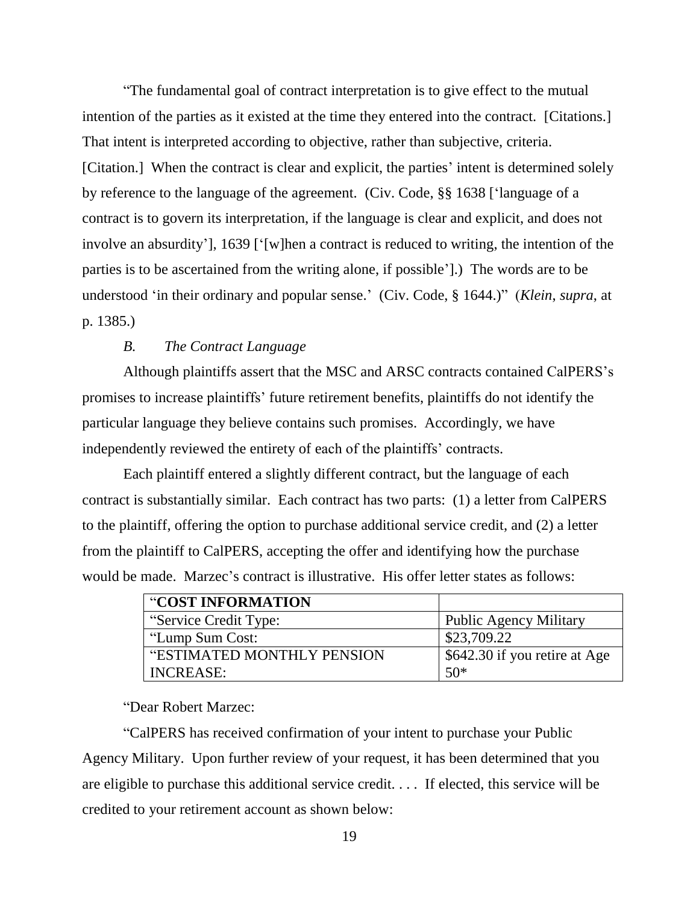"The fundamental goal of contract interpretation is to give effect to the mutual intention of the parties as it existed at the time they entered into the contract. [Citations.] That intent is interpreted according to objective, rather than subjective, criteria. [Citation.] When the contract is clear and explicit, the parties' intent is determined solely by reference to the language of the agreement. (Civ. Code, §§ 1638 ['language of a contract is to govern its interpretation, if the language is clear and explicit, and does not involve an absurdity'], 1639 ['[w]hen a contract is reduced to writing, the intention of the parties is to be ascertained from the writing alone, if possible'].) The words are to be understood 'in their ordinary and popular sense.' (Civ. Code, § 1644.)" (*Klein*, *supra*, at p. 1385.)

## *B. The Contract Language*

Although plaintiffs assert that the MSC and ARSC contracts contained CalPERS's promises to increase plaintiffs' future retirement benefits, plaintiffs do not identify the particular language they believe contains such promises. Accordingly, we have independently reviewed the entirety of each of the plaintiffs' contracts.

Each plaintiff entered a slightly different contract, but the language of each contract is substantially similar. Each contract has two parts: (1) a letter from CalPERS to the plaintiff, offering the option to purchase additional service credit, and (2) a letter from the plaintiff to CalPERS, accepting the offer and identifying how the purchase would be made. Marzec's contract is illustrative. His offer letter states as follows:

| "COST INFORMATION          |                               |
|----------------------------|-------------------------------|
| "Service Credit Type:      | Public Agency Military        |
| "Lump Sum Cost:            | \$23,709.22                   |
| "ESTIMATED MONTHLY PENSION | \$642.30 if you retire at Age |
| <b>INCREASE:</b>           | $50*$                         |

"Dear Robert Marzec:

"CalPERS has received confirmation of your intent to purchase your Public Agency Military. Upon further review of your request, it has been determined that you are eligible to purchase this additional service credit. . . . If elected, this service will be credited to your retirement account as shown below: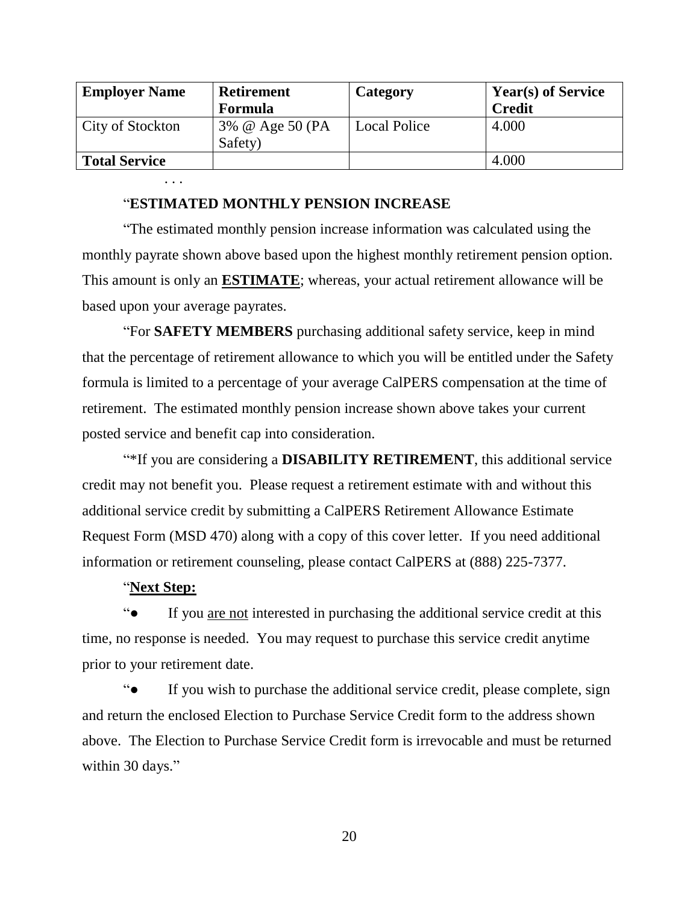| <b>Employer Name</b> | <b>Retirement</b>          | Category            | <b>Year(s) of Service</b> |
|----------------------|----------------------------|---------------------|---------------------------|
|                      | <b>Formula</b>             |                     | <b>Credit</b>             |
| City of Stockton     | 3% @ Age 50 (PA<br>Safety) | <b>Local Police</b> | 4.000                     |
| <b>Total Service</b> |                            |                     | 4.000                     |

## "**ESTIMATED MONTHLY PENSION INCREASE**

"The estimated monthly pension increase information was calculated using the monthly payrate shown above based upon the highest monthly retirement pension option. This amount is only an **ESTIMATE**; whereas, your actual retirement allowance will be based upon your average payrates.

"For **SAFETY MEMBERS** purchasing additional safety service, keep in mind that the percentage of retirement allowance to which you will be entitled under the Safety formula is limited to a percentage of your average CalPERS compensation at the time of retirement. The estimated monthly pension increase shown above takes your current posted service and benefit cap into consideration.

"\*If you are considering a **DISABILITY RETIREMENT**, this additional service credit may not benefit you. Please request a retirement estimate with and without this additional service credit by submitting a CalPERS Retirement Allowance Estimate Request Form (MSD 470) along with a copy of this cover letter. If you need additional information or retirement counseling, please contact CalPERS at (888) 225-7377.

## "**Next Step:**

. . .

"● If you are not interested in purchasing the additional service credit at this time, no response is needed. You may request to purchase this service credit anytime prior to your retirement date.

"● If you wish to purchase the additional service credit, please complete, sign and return the enclosed Election to Purchase Service Credit form to the address shown above. The Election to Purchase Service Credit form is irrevocable and must be returned within 30 days."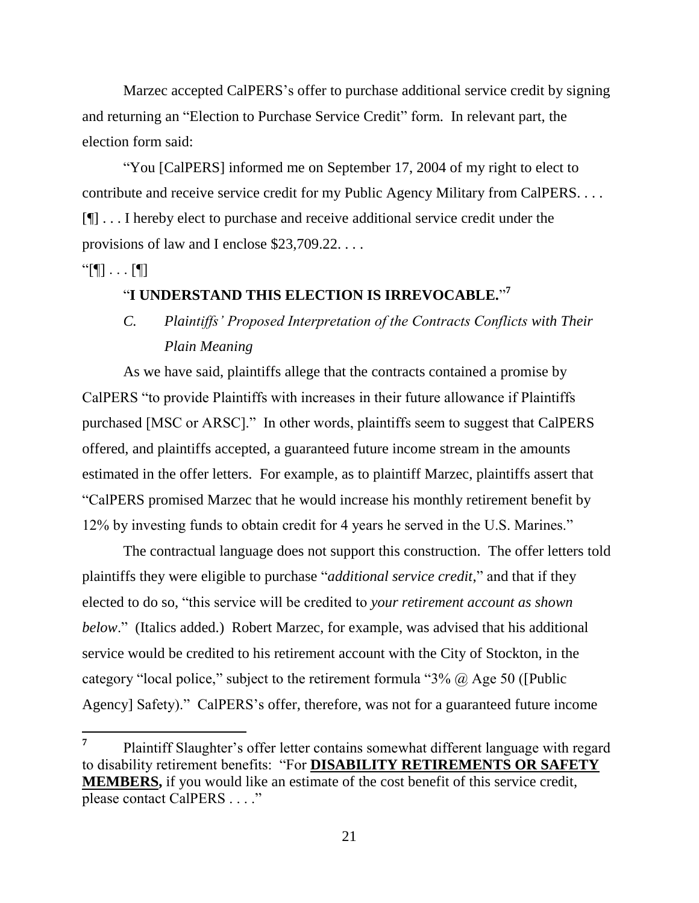Marzec accepted CalPERS's offer to purchase additional service credit by signing and returning an "Election to Purchase Service Credit" form. In relevant part, the election form said:

"You [CalPERS] informed me on September 17, 2004 of my right to elect to contribute and receive service credit for my Public Agency Military from CalPERS. . . . [¶] . . . I hereby elect to purchase and receive additional service credit under the provisions of law and I enclose \$23,709.22. . . .

 $\lceil \mathbb{N} \rceil \cdot \ldots \rceil$ 

# "**I UNDERSTAND THIS ELECTION IS IRREVOCABLE.**" **7**

# *C. Plaintiffs' Proposed Interpretation of the Contracts Conflicts with Their Plain Meaning*

As we have said, plaintiffs allege that the contracts contained a promise by CalPERS "to provide Plaintiffs with increases in their future allowance if Plaintiffs purchased [MSC or ARSC]." In other words, plaintiffs seem to suggest that CalPERS offered, and plaintiffs accepted, a guaranteed future income stream in the amounts estimated in the offer letters. For example, as to plaintiff Marzec, plaintiffs assert that "CalPERS promised Marzec that he would increase his monthly retirement benefit by 12% by investing funds to obtain credit for 4 years he served in the U.S. Marines."

The contractual language does not support this construction. The offer letters told plaintiffs they were eligible to purchase "*additional service credit*," and that if they elected to do so, "this service will be credited to *your retirement account as shown below*." (Italics added.) Robert Marzec, for example, was advised that his additional service would be credited to his retirement account with the City of Stockton, in the category "local police," subject to the retirement formula " $3\%$   $\omega$  Age 50 ([Public Agency] Safety)." CalPERS's offer, therefore, was not for a guaranteed future income

**<sup>7</sup>** Plaintiff Slaughter's offer letter contains somewhat different language with regard to disability retirement benefits: "For **DISABILITY RETIREMENTS OR SAFETY MEMBERS,** if you would like an estimate of the cost benefit of this service credit, please contact CalPERS . . . ."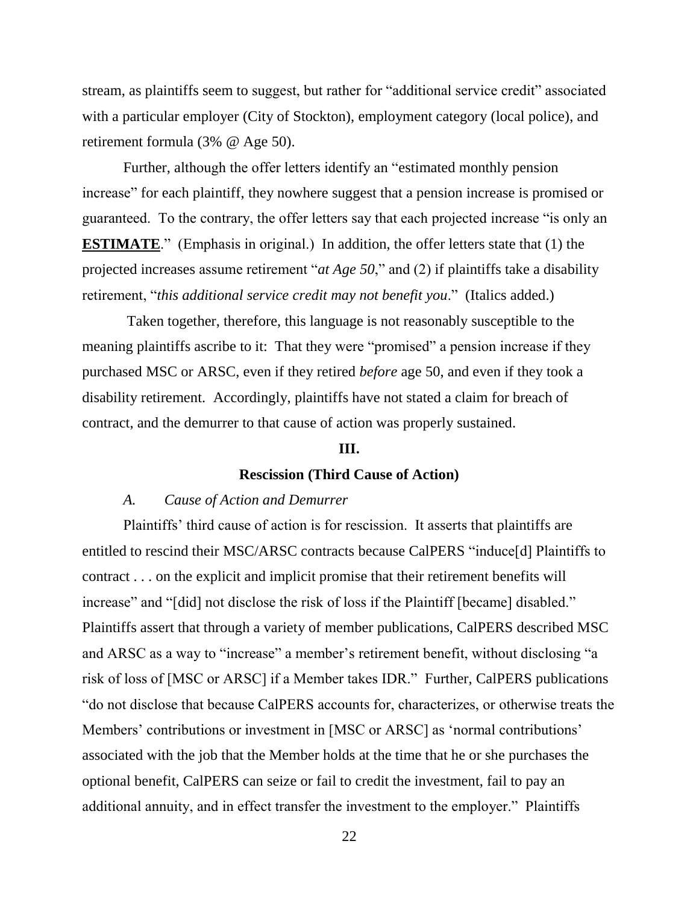stream, as plaintiffs seem to suggest, but rather for "additional service credit" associated with a particular employer (City of Stockton), employment category (local police), and retirement formula (3% @ Age 50).

Further, although the offer letters identify an "estimated monthly pension increase" for each plaintiff, they nowhere suggest that a pension increase is promised or guaranteed. To the contrary, the offer letters say that each projected increase "is only an **ESTIMATE**." (Emphasis in original.) In addition, the offer letters state that (1) the projected increases assume retirement "*at Age 50*," and (2) if plaintiffs take a disability retirement, "*this additional service credit may not benefit you*." (Italics added.)

Taken together, therefore, this language is not reasonably susceptible to the meaning plaintiffs ascribe to it: That they were "promised" a pension increase if they purchased MSC or ARSC, even if they retired *before* age 50, and even if they took a disability retirement. Accordingly, plaintiffs have not stated a claim for breach of contract, and the demurrer to that cause of action was properly sustained.

### **III.**

## **Rescission (Third Cause of Action)**

### *A. Cause of Action and Demurrer*

Plaintiffs' third cause of action is for rescission. It asserts that plaintiffs are entitled to rescind their MSC/ARSC contracts because CalPERS "induce[d] Plaintiffs to contract . . . on the explicit and implicit promise that their retirement benefits will increase" and "[did] not disclose the risk of loss if the Plaintiff [became] disabled." Plaintiffs assert that through a variety of member publications, CalPERS described MSC and ARSC as a way to "increase" a member's retirement benefit, without disclosing "a risk of loss of [MSC or ARSC] if a Member takes IDR." Further, CalPERS publications "do not disclose that because CalPERS accounts for, characterizes, or otherwise treats the Members' contributions or investment in [MSC or ARSC] as 'normal contributions' associated with the job that the Member holds at the time that he or she purchases the optional benefit, CalPERS can seize or fail to credit the investment, fail to pay an additional annuity, and in effect transfer the investment to the employer." Plaintiffs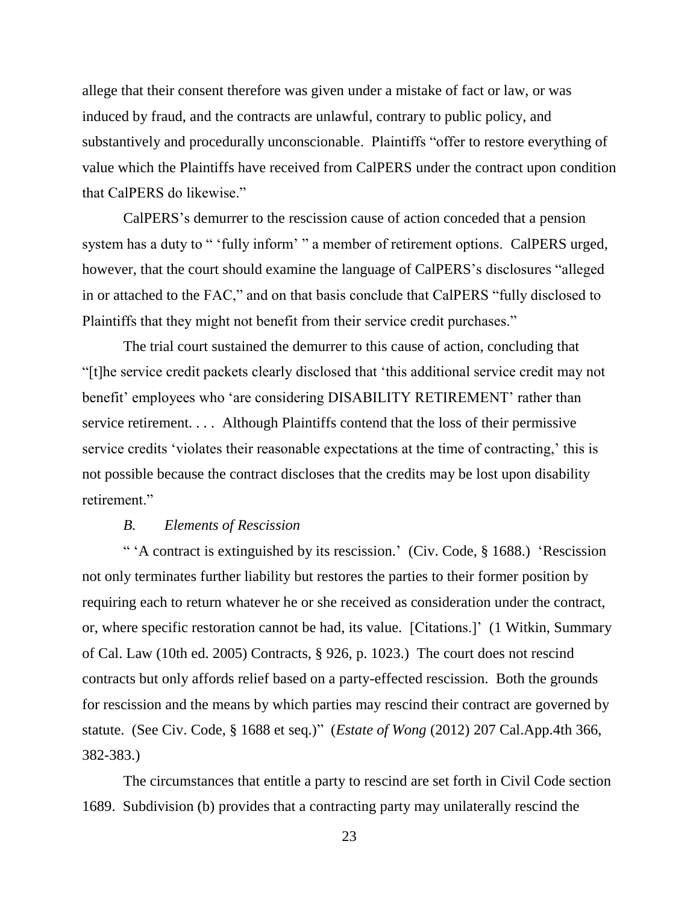allege that their consent therefore was given under a mistake of fact or law, or was induced by fraud, and the contracts are unlawful, contrary to public policy, and substantively and procedurally unconscionable. Plaintiffs "offer to restore everything of value which the Plaintiffs have received from CalPERS under the contract upon condition that CalPERS do likewise."

CalPERS's demurrer to the rescission cause of action conceded that a pension system has a duty to " 'fully inform' " a member of retirement options. CalPERS urged, however, that the court should examine the language of CalPERS's disclosures "alleged in or attached to the FAC," and on that basis conclude that CalPERS "fully disclosed to Plaintiffs that they might not benefit from their service credit purchases."

The trial court sustained the demurrer to this cause of action, concluding that "[t]he service credit packets clearly disclosed that 'this additional service credit may not benefit' employees who 'are considering DISABILITY RETIREMENT' rather than service retirement. . . . Although Plaintiffs contend that the loss of their permissive service credits 'violates their reasonable expectations at the time of contracting,' this is not possible because the contract discloses that the credits may be lost upon disability retirement."

### *B. Elements of Rescission*

" 'A contract is extinguished by its rescission.' (Civ. Code, § 1688.) 'Rescission not only terminates further liability but restores the parties to their former position by requiring each to return whatever he or she received as consideration under the contract, or, where specific restoration cannot be had, its value. [Citations.]' (1 Witkin, Summary of Cal. Law (10th ed. 2005) Contracts, § 926, p. 1023.) The court does not rescind contracts but only affords relief based on a party-effected rescission. Both the grounds for rescission and the means by which parties may rescind their contract are governed by statute. (See Civ. Code, § 1688 et seq.)" (*Estate of Wong* (2012) 207 Cal.App.4th 366, 382-383.)

The circumstances that entitle a party to rescind are set forth in Civil Code section 1689. Subdivision (b) provides that a contracting party may unilaterally rescind the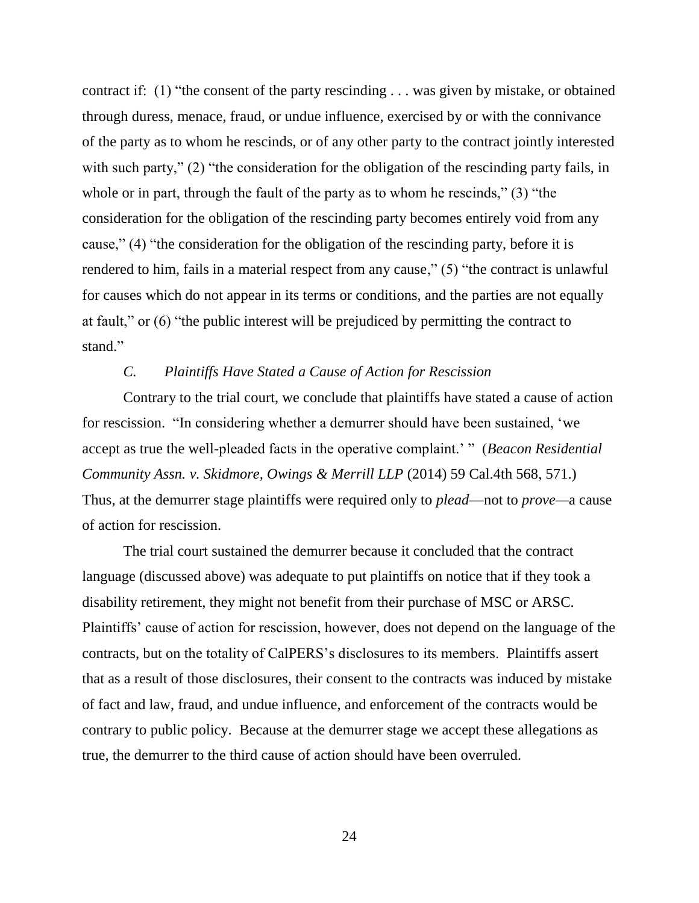contract if: (1) "the consent of the party rescinding . . . was given by mistake, or obtained through duress, menace, fraud, or undue influence, exercised by or with the connivance of the party as to whom he rescinds, or of any other party to the contract jointly interested with such party," (2) "the consideration for the obligation of the rescinding party fails, in whole or in part, through the fault of the party as to whom he rescinds," (3) "the consideration for the obligation of the rescinding party becomes entirely void from any cause," (4) "the consideration for the obligation of the rescinding party, before it is rendered to him, fails in a material respect from any cause," (5) "the contract is unlawful for causes which do not appear in its terms or conditions, and the parties are not equally at fault," or (6) "the public interest will be prejudiced by permitting the contract to stand."

## *C. Plaintiffs Have Stated a Cause of Action for Rescission*

Contrary to the trial court, we conclude that plaintiffs have stated a cause of action for rescission. "In considering whether a demurrer should have been sustained, 'we accept as true the well-pleaded facts in the operative complaint.' " (*Beacon Residential Community Assn. v. Skidmore, Owings & Merrill LLP* (2014) 59 Cal.4th 568, 571.) Thus, at the demurrer stage plaintiffs were required only to *plead*—not to *prove—*a cause of action for rescission.

The trial court sustained the demurrer because it concluded that the contract language (discussed above) was adequate to put plaintiffs on notice that if they took a disability retirement, they might not benefit from their purchase of MSC or ARSC. Plaintiffs' cause of action for rescission, however, does not depend on the language of the contracts, but on the totality of CalPERS's disclosures to its members. Plaintiffs assert that as a result of those disclosures, their consent to the contracts was induced by mistake of fact and law, fraud, and undue influence, and enforcement of the contracts would be contrary to public policy. Because at the demurrer stage we accept these allegations as true, the demurrer to the third cause of action should have been overruled.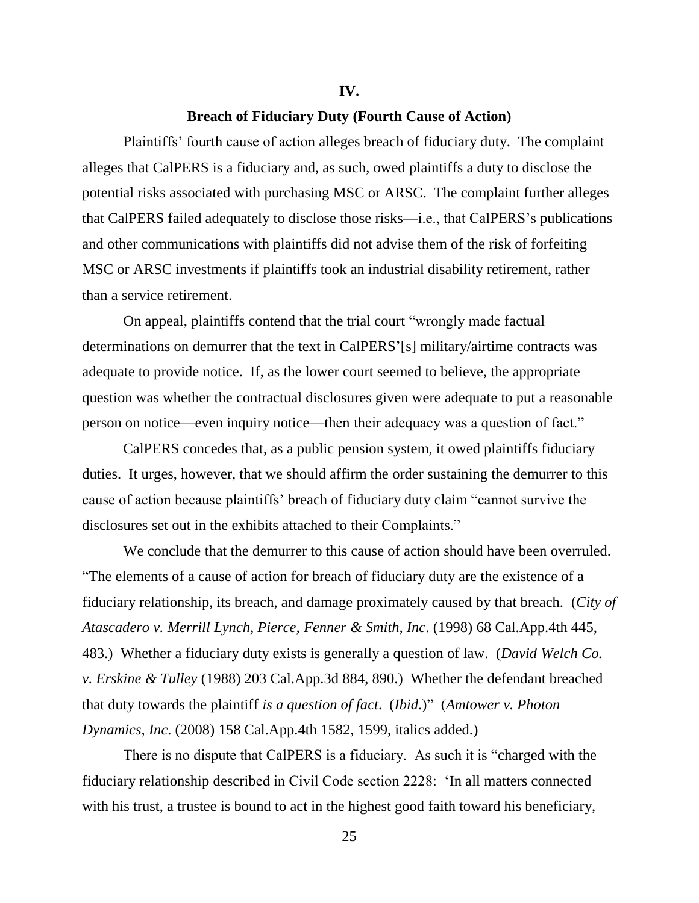#### **IV.**

### **Breach of Fiduciary Duty (Fourth Cause of Action)**

Plaintiffs' fourth cause of action alleges breach of fiduciary duty. The complaint alleges that CalPERS is a fiduciary and, as such, owed plaintiffs a duty to disclose the potential risks associated with purchasing MSC or ARSC. The complaint further alleges that CalPERS failed adequately to disclose those risks—i.e., that CalPERS's publications and other communications with plaintiffs did not advise them of the risk of forfeiting MSC or ARSC investments if plaintiffs took an industrial disability retirement, rather than a service retirement.

On appeal, plaintiffs contend that the trial court "wrongly made factual determinations on demurrer that the text in CalPERS'[s] military/airtime contracts was adequate to provide notice. If, as the lower court seemed to believe, the appropriate question was whether the contractual disclosures given were adequate to put a reasonable person on notice—even inquiry notice—then their adequacy was a question of fact."

CalPERS concedes that, as a public pension system, it owed plaintiffs fiduciary duties. It urges, however, that we should affirm the order sustaining the demurrer to this cause of action because plaintiffs' breach of fiduciary duty claim "cannot survive the disclosures set out in the exhibits attached to their Complaints."

We conclude that the demurrer to this cause of action should have been overruled. "The elements of a cause of action for breach of fiduciary duty are the existence of a fiduciary relationship, its breach, and damage proximately caused by that breach. (*City of Atascadero v. Merrill Lynch, Pierce, Fenner & Smith, Inc*. (1998) 68 Cal.App.4th 445, 483.) Whether a fiduciary duty exists is generally a question of law. (*David Welch Co. v. Erskine & Tulley* (1988) 203 Cal.App.3d 884, 890.) Whether the defendant breached that duty towards the plaintiff *is a question of fact*. (*Ibid*.)" (*Amtower v. Photon Dynamics, Inc*. (2008) 158 Cal.App.4th 1582, 1599, italics added.)

There is no dispute that CalPERS is a fiduciary. As such it is "charged with the fiduciary relationship described in Civil Code section 2228: 'In all matters connected with his trust, a trustee is bound to act in the highest good faith toward his beneficiary,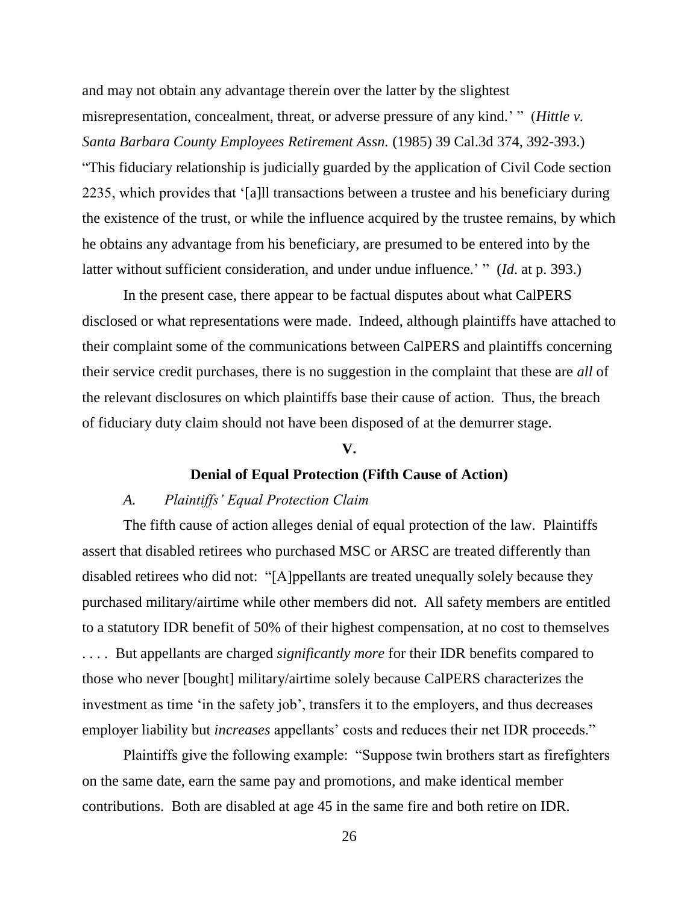and may not obtain any advantage therein over the latter by the slightest misrepresentation, concealment, threat, or adverse pressure of any kind.' " (*Hittle v. Santa Barbara County Employees Retirement Assn.* (1985) 39 Cal.3d 374, 392-393.) "This fiduciary relationship is judicially guarded by the application of Civil Code section 2235, which provides that '[a]ll transactions between a trustee and his beneficiary during the existence of the trust, or while the influence acquired by the trustee remains, by which he obtains any advantage from his beneficiary, are presumed to be entered into by the latter without sufficient consideration, and under undue influence.' " (*Id*. at p. 393.)

In the present case, there appear to be factual disputes about what CalPERS disclosed or what representations were made. Indeed, although plaintiffs have attached to their complaint some of the communications between CalPERS and plaintiffs concerning their service credit purchases, there is no suggestion in the complaint that these are *all* of the relevant disclosures on which plaintiffs base their cause of action. Thus, the breach of fiduciary duty claim should not have been disposed of at the demurrer stage.

### **V.**

### **Denial of Equal Protection (Fifth Cause of Action)**

### *A. Plaintiffs' Equal Protection Claim*

The fifth cause of action alleges denial of equal protection of the law. Plaintiffs assert that disabled retirees who purchased MSC or ARSC are treated differently than disabled retirees who did not: "[A]ppellants are treated unequally solely because they purchased military/airtime while other members did not. All safety members are entitled to a statutory IDR benefit of 50% of their highest compensation, at no cost to themselves . . . . But appellants are charged *significantly more* for their IDR benefits compared to those who never [bought] military/airtime solely because CalPERS characterizes the investment as time 'in the safety job', transfers it to the employers, and thus decreases employer liability but *increases* appellants' costs and reduces their net IDR proceeds."

Plaintiffs give the following example: "Suppose twin brothers start as firefighters on the same date, earn the same pay and promotions, and make identical member contributions. Both are disabled at age 45 in the same fire and both retire on IDR.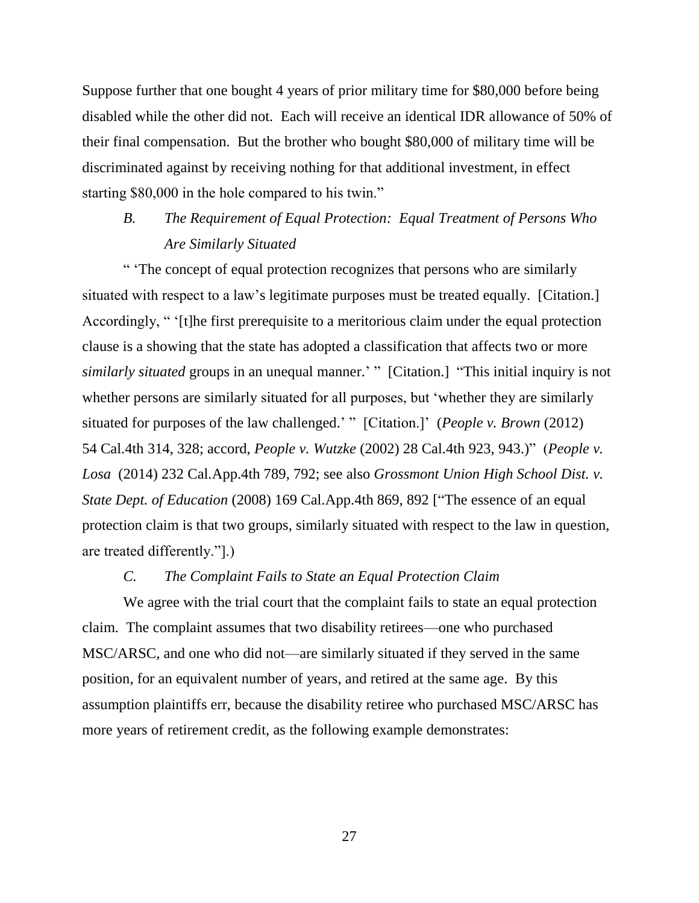Suppose further that one bought 4 years of prior military time for \$80,000 before being disabled while the other did not. Each will receive an identical IDR allowance of 50% of their final compensation. But the brother who bought \$80,000 of military time will be discriminated against by receiving nothing for that additional investment, in effect starting \$80,000 in the hole compared to his twin."

# *B. The Requirement of Equal Protection: Equal Treatment of Persons Who Are Similarly Situated*

" 'The concept of equal protection recognizes that persons who are similarly situated with respect to a law's legitimate purposes must be treated equally. [Citation.] Accordingly, " '[t]he first prerequisite to a meritorious claim under the equal protection clause is a showing that the state has adopted a classification that affects two or more *similarly situated* groups in an unequal manner.' " [Citation.] "This initial inquiry is not whether persons are similarly situated for all purposes, but 'whether they are similarly situated for purposes of the law challenged.' " [Citation.]' (*People v. Brown* (2012) 54 Cal.4th 314, 328; accord, *People v. Wutzke* (2002) 28 Cal.4th 923, 943.)" (*People v. Losa* (2014) 232 Cal.App.4th 789, 792; see also *Grossmont Union High School Dist. v. State Dept. of Education* (2008) 169 Cal.App.4th 869, 892 ["The essence of an equal protection claim is that two groups, similarly situated with respect to the law in question, are treated differently."].)

## *C. The Complaint Fails to State an Equal Protection Claim*

We agree with the trial court that the complaint fails to state an equal protection claim. The complaint assumes that two disability retirees—one who purchased MSC/ARSC, and one who did not—are similarly situated if they served in the same position, for an equivalent number of years, and retired at the same age. By this assumption plaintiffs err, because the disability retiree who purchased MSC/ARSC has more years of retirement credit, as the following example demonstrates: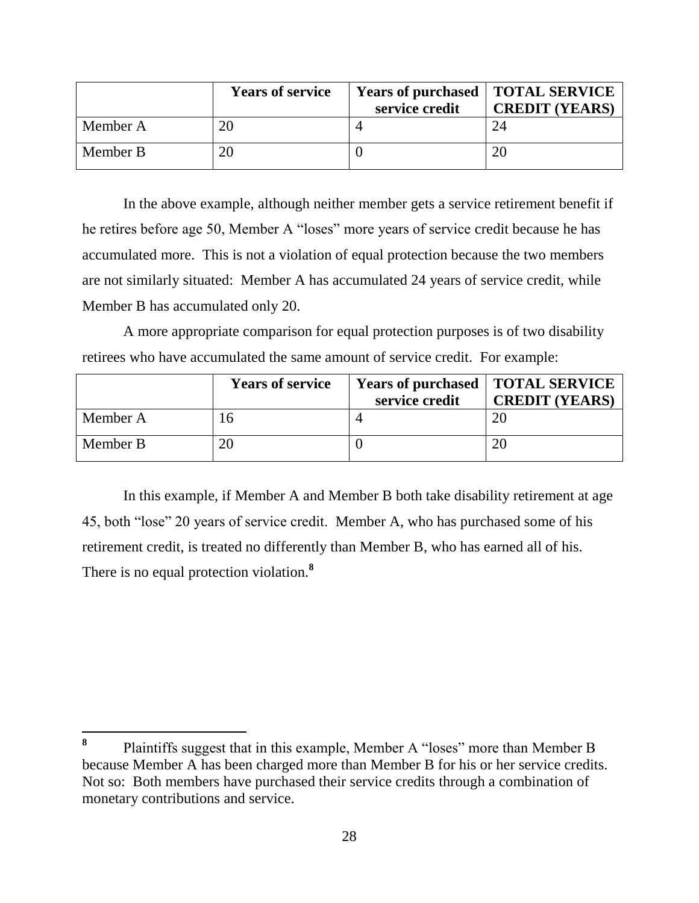|          | <b>Years of service</b> | service credit | <b>Years of purchased   TOTAL SERVICE</b><br><b>CREDIT (YEARS)</b> |
|----------|-------------------------|----------------|--------------------------------------------------------------------|
| Member A | 20                      |                | 24                                                                 |
| Member B | 20                      |                |                                                                    |

In the above example, although neither member gets a service retirement benefit if he retires before age 50, Member A "loses" more years of service credit because he has accumulated more. This is not a violation of equal protection because the two members are not similarly situated: Member A has accumulated 24 years of service credit, while Member B has accumulated only 20.

A more appropriate comparison for equal protection purposes is of two disability retirees who have accumulated the same amount of service credit. For example:

|          | <b>Years of service</b> | service credit | <b>Years of purchased   TOTAL SERVICE</b><br><b>CREDIT (YEARS)</b> |
|----------|-------------------------|----------------|--------------------------------------------------------------------|
| Member A | 16                      |                |                                                                    |
| Member B | 20                      |                |                                                                    |

In this example, if Member A and Member B both take disability retirement at age 45, both "lose" 20 years of service credit. Member A, who has purchased some of his retirement credit, is treated no differently than Member B, who has earned all of his. There is no equal protection violation.**<sup>8</sup>**

**<sup>8</sup>** Plaintiffs suggest that in this example, Member A "loses" more than Member B because Member A has been charged more than Member B for his or her service credits. Not so: Both members have purchased their service credits through a combination of monetary contributions and service.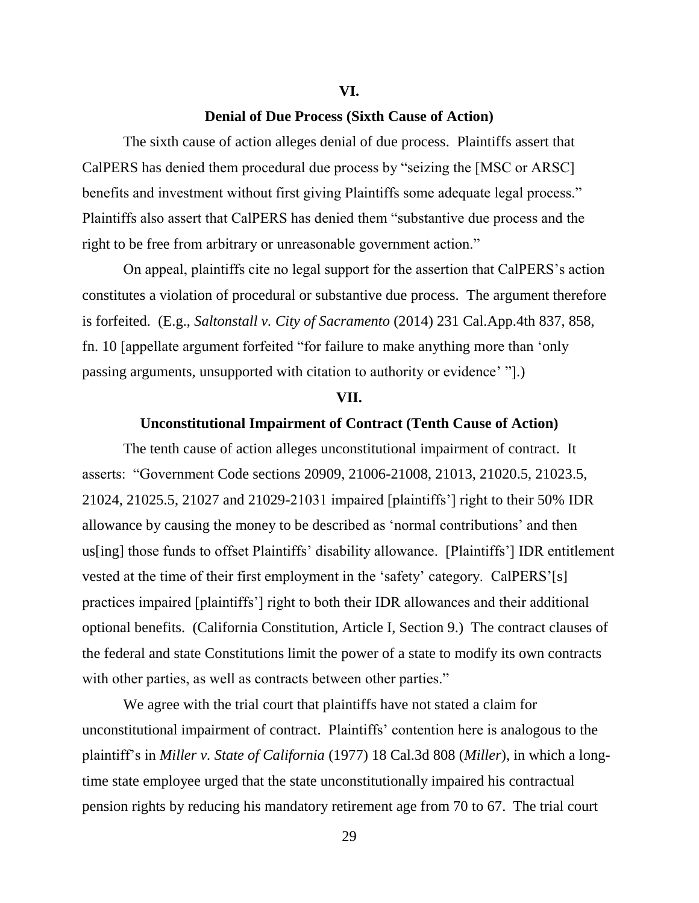### **Denial of Due Process (Sixth Cause of Action)**

The sixth cause of action alleges denial of due process. Plaintiffs assert that CalPERS has denied them procedural due process by "seizing the [MSC or ARSC] benefits and investment without first giving Plaintiffs some adequate legal process." Plaintiffs also assert that CalPERS has denied them "substantive due process and the right to be free from arbitrary or unreasonable government action."

On appeal, plaintiffs cite no legal support for the assertion that CalPERS's action constitutes a violation of procedural or substantive due process. The argument therefore is forfeited. (E.g., *Saltonstall v. City of Sacramento* (2014) 231 Cal.App.4th 837, 858, fn. 10 [appellate argument forfeited "for failure to make anything more than 'only passing arguments, unsupported with citation to authority or evidence' "].)

#### **VII.**

## **Unconstitutional Impairment of Contract (Tenth Cause of Action)**

The tenth cause of action alleges unconstitutional impairment of contract. It asserts: "Government Code sections 20909, 21006-21008, 21013, 21020.5, 21023.5, 21024, 21025.5, 21027 and 21029-21031 impaired [plaintiffs'] right to their 50% IDR allowance by causing the money to be described as 'normal contributions' and then us[ing] those funds to offset Plaintiffs' disability allowance. [Plaintiffs'] IDR entitlement vested at the time of their first employment in the 'safety' category. CalPERS'[s] practices impaired [plaintiffs'] right to both their IDR allowances and their additional optional benefits. (California Constitution, Article I, Section 9.) The contract clauses of the federal and state Constitutions limit the power of a state to modify its own contracts with other parties, as well as contracts between other parties."

We agree with the trial court that plaintiffs have not stated a claim for unconstitutional impairment of contract. Plaintiffs' contention here is analogous to the plaintiff's in *Miller v. State of California* (1977) 18 Cal.3d 808 (*Miller*), in which a longtime state employee urged that the state unconstitutionally impaired his contractual pension rights by reducing his mandatory retirement age from 70 to 67. The trial court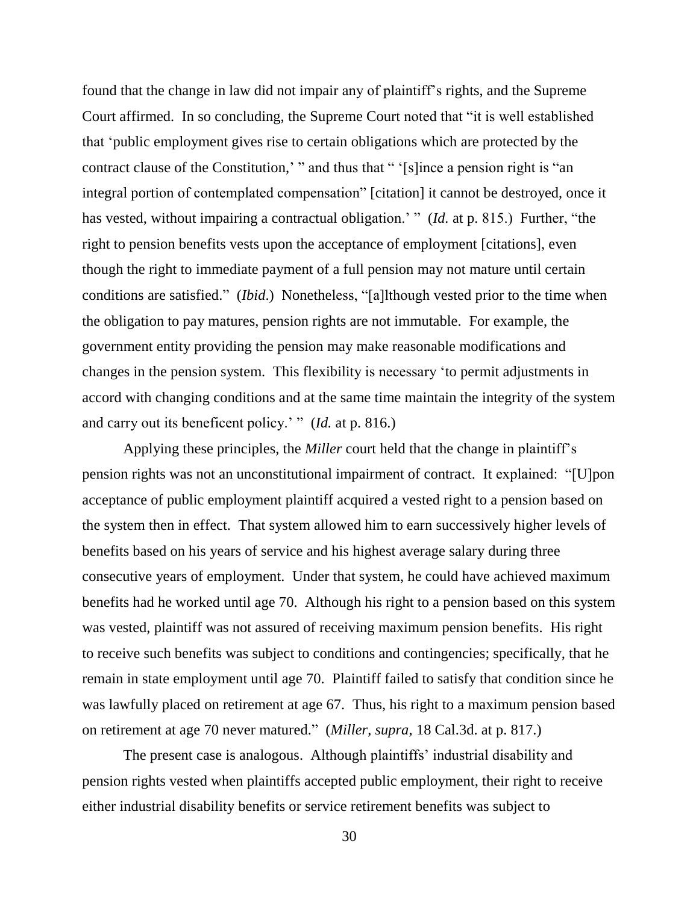found that the change in law did not impair any of plaintiff's rights, and the Supreme Court affirmed. In so concluding, the Supreme Court noted that "it is well established that 'public employment gives rise to certain obligations which are protected by the contract clause of the Constitution,' " and thus that " '[s]ince a pension right is "an integral portion of contemplated compensation" [citation] it cannot be destroyed, once it has vested, without impairing a contractual obligation.' " (*Id.* at p. 815.) Further, "the right to pension benefits vests upon the acceptance of employment [citations], even though the right to immediate payment of a full pension may not mature until certain conditions are satisfied." (*Ibid*.) Nonetheless, "[a]lthough vested prior to the time when the obligation to pay matures, pension rights are not immutable. For example, the government entity providing the pension may make reasonable modifications and changes in the pension system. This flexibility is necessary 'to permit adjustments in accord with changing conditions and at the same time maintain the integrity of the system and carry out its beneficent policy.' " (*Id.* at p. 816.)

Applying these principles, the *Miller* court held that the change in plaintiff's pension rights was not an unconstitutional impairment of contract. It explained: "[U]pon acceptance of public employment plaintiff acquired a vested right to a pension based on the system then in effect. That system allowed him to earn successively higher levels of benefits based on his years of service and his highest average salary during three consecutive years of employment. Under that system, he could have achieved maximum benefits had he worked until age 70. Although his right to a pension based on this system was vested, plaintiff was not assured of receiving maximum pension benefits. His right to receive such benefits was subject to conditions and contingencies; specifically, that he remain in state employment until age 70. Plaintiff failed to satisfy that condition since he was lawfully placed on retirement at age 67. Thus, his right to a maximum pension based on retirement at age 70 never matured." (*Miller*, *supra*, 18 Cal.3d. at p. 817.)

The present case is analogous. Although plaintiffs' industrial disability and pension rights vested when plaintiffs accepted public employment, their right to receive either industrial disability benefits or service retirement benefits was subject to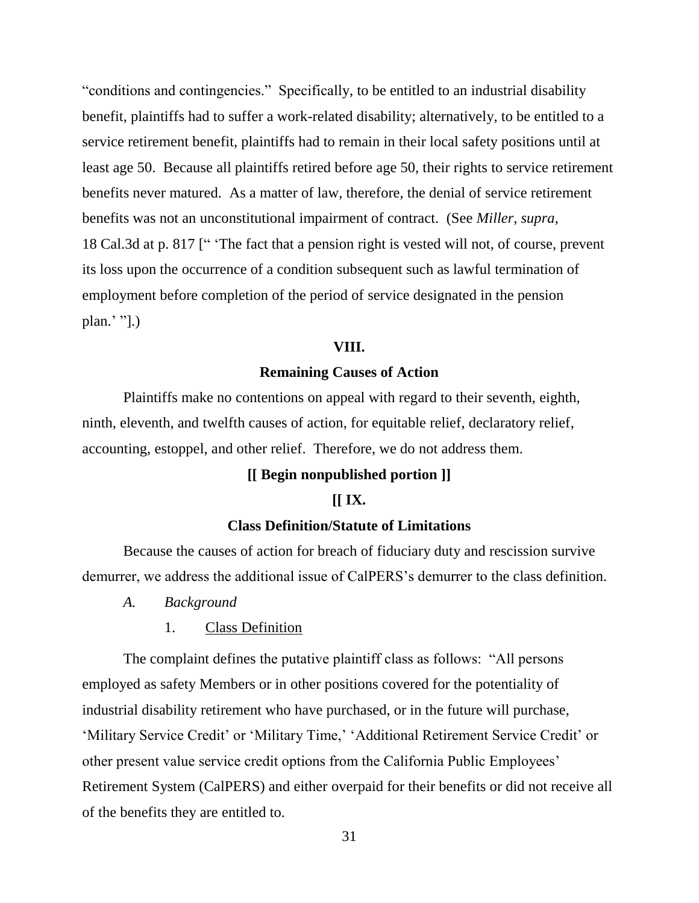"conditions and contingencies." Specifically, to be entitled to an industrial disability benefit, plaintiffs had to suffer a work-related disability; alternatively, to be entitled to a service retirement benefit, plaintiffs had to remain in their local safety positions until at least age 50. Because all plaintiffs retired before age 50, their rights to service retirement benefits never matured. As a matter of law, therefore, the denial of service retirement benefits was not an unconstitutional impairment of contract. (See *Miller*, *supra*, 18 Cal.3d at p. 817 [" 'The fact that a pension right is vested will not, of course, prevent its loss upon the occurrence of a condition subsequent such as lawful termination of employment before completion of the period of service designated in the pension plan.' "].)

### **VIII.**

### **Remaining Causes of Action**

Plaintiffs make no contentions on appeal with regard to their seventh, eighth, ninth, eleventh, and twelfth causes of action, for equitable relief, declaratory relief, accounting, estoppel, and other relief. Therefore, we do not address them.

### **[[ Begin nonpublished portion ]]**

### **[[ IX.**

### **Class Definition/Statute of Limitations**

Because the causes of action for breach of fiduciary duty and rescission survive demurrer, we address the additional issue of CalPERS's demurrer to the class definition.

- *A. Background*
	- 1. Class Definition

The complaint defines the putative plaintiff class as follows: "All persons employed as safety Members or in other positions covered for the potentiality of industrial disability retirement who have purchased, or in the future will purchase, 'Military Service Credit' or 'Military Time,' 'Additional Retirement Service Credit' or other present value service credit options from the California Public Employees' Retirement System (CalPERS) and either overpaid for their benefits or did not receive all of the benefits they are entitled to.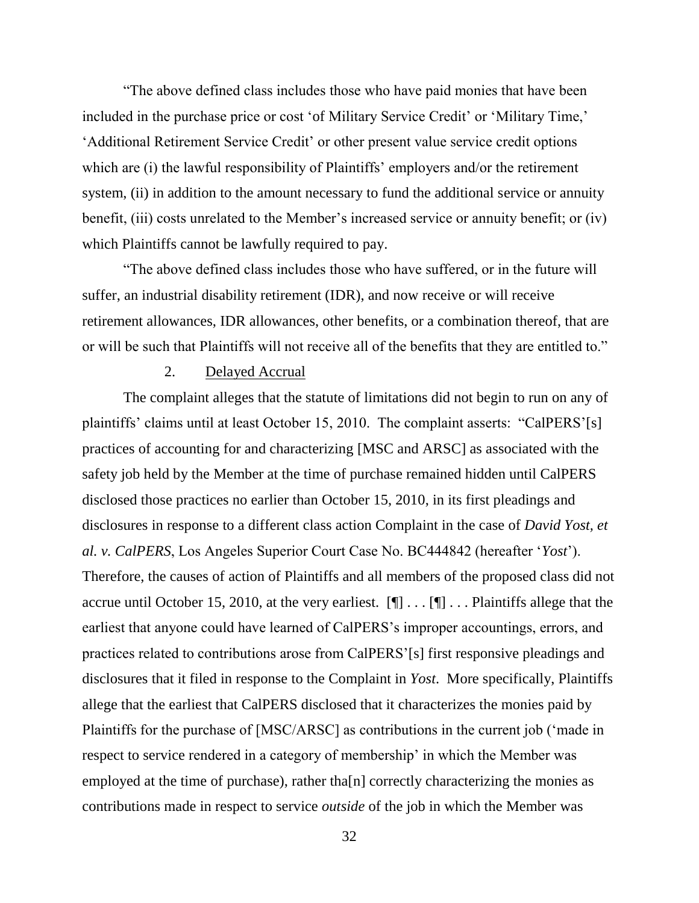"The above defined class includes those who have paid monies that have been included in the purchase price or cost 'of Military Service Credit' or 'Military Time,' 'Additional Retirement Service Credit' or other present value service credit options which are (i) the lawful responsibility of Plaintiffs' employers and/or the retirement system, (ii) in addition to the amount necessary to fund the additional service or annuity benefit, (iii) costs unrelated to the Member's increased service or annuity benefit; or (iv) which Plaintiffs cannot be lawfully required to pay.

"The above defined class includes those who have suffered, or in the future will suffer, an industrial disability retirement (IDR), and now receive or will receive retirement allowances, IDR allowances, other benefits, or a combination thereof, that are or will be such that Plaintiffs will not receive all of the benefits that they are entitled to."

## 2. Delayed Accrual

The complaint alleges that the statute of limitations did not begin to run on any of plaintiffs' claims until at least October 15, 2010. The complaint asserts: "CalPERS'[s] practices of accounting for and characterizing [MSC and ARSC] as associated with the safety job held by the Member at the time of purchase remained hidden until CalPERS disclosed those practices no earlier than October 15, 2010, in its first pleadings and disclosures in response to a different class action Complaint in the case of *David Yost, et al. v. CalPERS*, Los Angeles Superior Court Case No. BC444842 (hereafter '*Yost*'). Therefore, the causes of action of Plaintiffs and all members of the proposed class did not accrue until October 15, 2010, at the very earliest.  $[\P] \dots [\P] \dots$  Plaintiffs allege that the earliest that anyone could have learned of CalPERS's improper accountings, errors, and practices related to contributions arose from CalPERS'[s] first responsive pleadings and disclosures that it filed in response to the Complaint in *Yost*. More specifically, Plaintiffs allege that the earliest that CalPERS disclosed that it characterizes the monies paid by Plaintiffs for the purchase of [MSC/ARSC] as contributions in the current job ('made in respect to service rendered in a category of membership' in which the Member was employed at the time of purchase), rather tha[n] correctly characterizing the monies as contributions made in respect to service *outside* of the job in which the Member was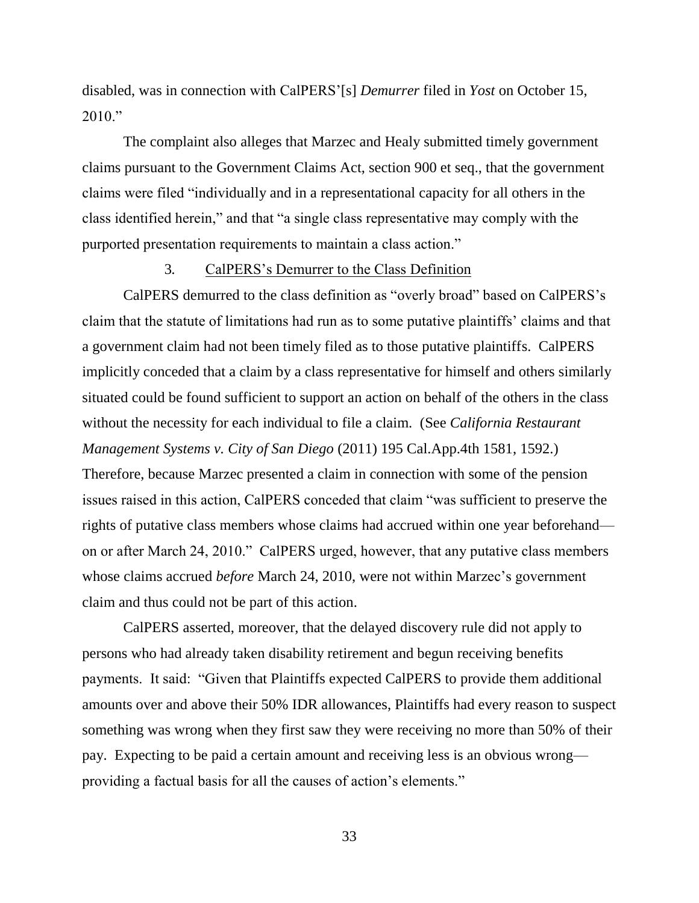disabled, was in connection with CalPERS'[s] *Demurrer* filed in *Yost* on October 15,  $2010."$ 

The complaint also alleges that Marzec and Healy submitted timely government claims pursuant to the Government Claims Act, section 900 et seq., that the government claims were filed "individually and in a representational capacity for all others in the class identified herein," and that "a single class representative may comply with the purported presentation requirements to maintain a class action."

### 3*.* CalPERS's Demurrer to the Class Definition

CalPERS demurred to the class definition as "overly broad" based on CalPERS's claim that the statute of limitations had run as to some putative plaintiffs' claims and that a government claim had not been timely filed as to those putative plaintiffs. CalPERS implicitly conceded that a claim by a class representative for himself and others similarly situated could be found sufficient to support an action on behalf of the others in the class without the necessity for each individual to file a claim. (See *California Restaurant Management Systems v. City of San Diego* (2011) 195 Cal.App.4th 1581, 1592.) Therefore, because Marzec presented a claim in connection with some of the pension issues raised in this action, CalPERS conceded that claim "was sufficient to preserve the rights of putative class members whose claims had accrued within one year beforehand on or after March 24, 2010." CalPERS urged, however, that any putative class members whose claims accrued *before* March 24, 2010, were not within Marzec's government claim and thus could not be part of this action.

CalPERS asserted, moreover, that the delayed discovery rule did not apply to persons who had already taken disability retirement and begun receiving benefits payments. It said: "Given that Plaintiffs expected CalPERS to provide them additional amounts over and above their 50% IDR allowances, Plaintiffs had every reason to suspect something was wrong when they first saw they were receiving no more than 50% of their pay. Expecting to be paid a certain amount and receiving less is an obvious wrong providing a factual basis for all the causes of action's elements."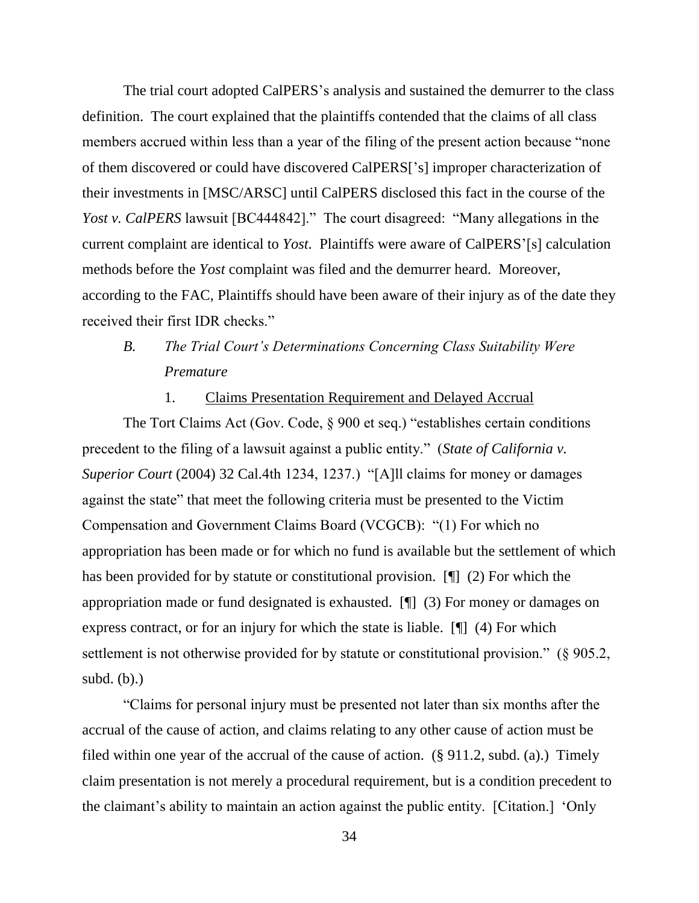The trial court adopted CalPERS's analysis and sustained the demurrer to the class definition. The court explained that the plaintiffs contended that the claims of all class members accrued within less than a year of the filing of the present action because "none of them discovered or could have discovered CalPERS['s] improper characterization of their investments in [MSC/ARSC] until CalPERS disclosed this fact in the course of the *Yost v. CalPERS* lawsuit [BC444842]." The court disagreed: "Many allegations in the current complaint are identical to *Yost*. Plaintiffs were aware of CalPERS'[s] calculation methods before the *Yost* complaint was filed and the demurrer heard. Moreover, according to the FAC, Plaintiffs should have been aware of their injury as of the date they received their first IDR checks."

# *B. The Trial Court's Determinations Concerning Class Suitability Were Premature*

## 1. Claims Presentation Requirement and Delayed Accrual

The Tort Claims Act (Gov. Code, § 900 et seq.) "establishes certain conditions precedent to the filing of a lawsuit against a public entity." (*State of California v. Superior Court* (2004) 32 Cal.4th 1234, 1237.) "[A]ll claims for money or damages against the state" that meet the following criteria must be presented to the Victim Compensation and Government Claims Board (VCGCB): "(1) For which no appropriation has been made or for which no fund is available but the settlement of which has been provided for by statute or constitutional provision. [¶] (2) For which the appropriation made or fund designated is exhausted. [¶] (3) For money or damages on express contract, or for an injury for which the state is liable. [¶] (4) For which settlement is not otherwise provided for by statute or constitutional provision." (§ 905.2, subd.  $(b)$ .)

"Claims for personal injury must be presented not later than six months after the accrual of the cause of action, and claims relating to any other cause of action must be filed within one year of the accrual of the cause of action. (§ 911.2, subd. (a).) Timely claim presentation is not merely a procedural requirement, but is a condition precedent to the claimant's ability to maintain an action against the public entity. [Citation.] 'Only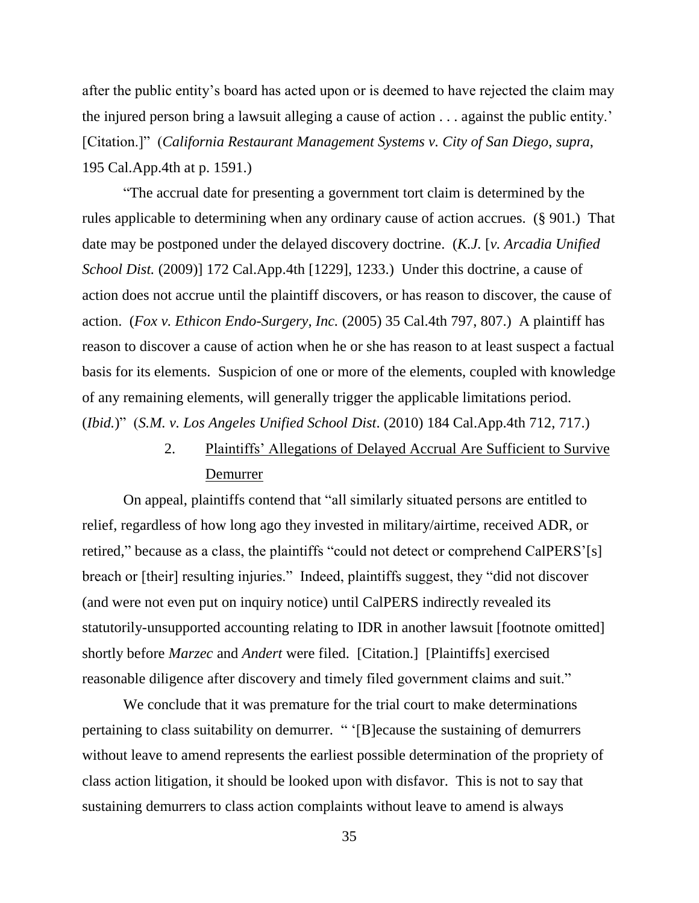after the public entity's board has acted upon or is deemed to have rejected the claim may the injured person bring a lawsuit alleging a cause of action . . . against the public entity.' [Citation.]" (*California Restaurant Management Systems v. City of San Diego*, *supra*, 195 Cal.App.4th at p. 1591.)

"The accrual date for presenting a government tort claim is determined by the rules applicable to determining when any ordinary cause of action accrues. (§ 901.) That date may be postponed under the delayed discovery doctrine. (*K.J.* [*v. Arcadia Unified School Dist.* (2009)] 172 Cal.App.4th [1229], 1233.) Under this doctrine, a cause of action does not accrue until the plaintiff discovers, or has reason to discover, the cause of action. (*Fox v. Ethicon Endo-Surgery, Inc.* (2005) 35 Cal.4th 797, 807.) A plaintiff has reason to discover a cause of action when he or she has reason to at least suspect a factual basis for its elements. Suspicion of one or more of the elements, coupled with knowledge of any remaining elements, will generally trigger the applicable limitations period. (*Ibid.*)" (*S.M. v. Los Angeles Unified School Dist*. (2010) 184 Cal.App.4th 712, 717.)

> 2. Plaintiffs' Allegations of Delayed Accrual Are Sufficient to Survive Demurrer

On appeal, plaintiffs contend that "all similarly situated persons are entitled to relief, regardless of how long ago they invested in military/airtime, received ADR, or retired," because as a class, the plaintiffs "could not detect or comprehend CalPERS'[s] breach or [their] resulting injuries." Indeed, plaintiffs suggest, they "did not discover (and were not even put on inquiry notice) until CalPERS indirectly revealed its statutorily-unsupported accounting relating to IDR in another lawsuit [footnote omitted] shortly before *Marzec* and *Andert* were filed. [Citation.] [Plaintiffs] exercised reasonable diligence after discovery and timely filed government claims and suit."

We conclude that it was premature for the trial court to make determinations pertaining to class suitability on demurrer. " '[B]ecause the sustaining of demurrers without leave to amend represents the earliest possible determination of the propriety of class action litigation, it should be looked upon with disfavor. This is not to say that sustaining demurrers to class action complaints without leave to amend is always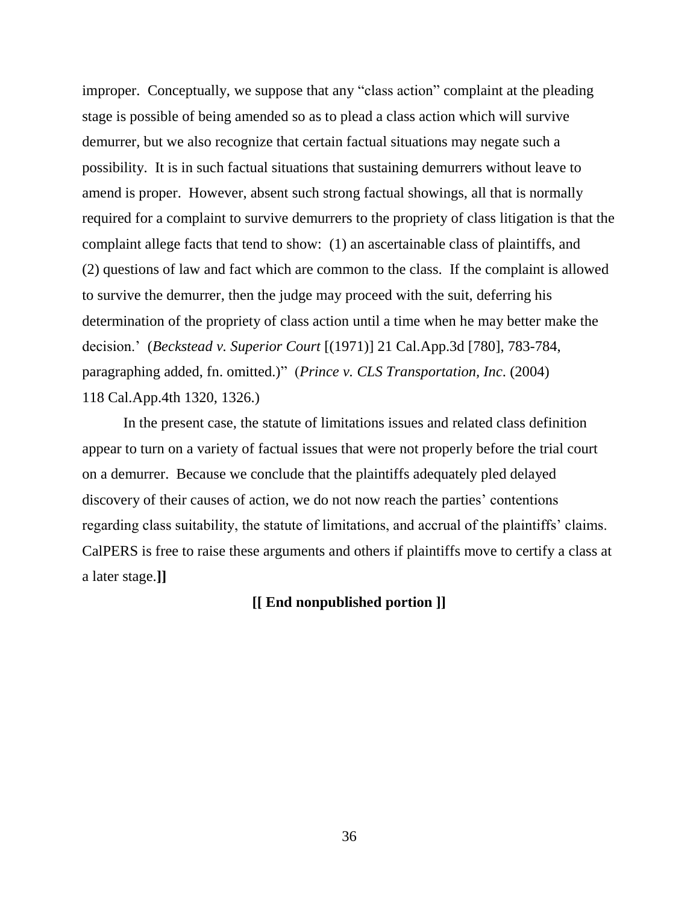improper. Conceptually, we suppose that any "class action" complaint at the pleading stage is possible of being amended so as to plead a class action which will survive demurrer, but we also recognize that certain factual situations may negate such a possibility. It is in such factual situations that sustaining demurrers without leave to amend is proper. However, absent such strong factual showings, all that is normally required for a complaint to survive demurrers to the propriety of class litigation is that the complaint allege facts that tend to show: (1) an ascertainable class of plaintiffs, and (2) questions of law and fact which are common to the class. If the complaint is allowed to survive the demurrer, then the judge may proceed with the suit, deferring his determination of the propriety of class action until a time when he may better make the decision.' (*Beckstead v. Superior Court* [(1971)] 21 Cal.App.3d [780], 783-784, paragraphing added, fn. omitted.)" (*Prince v. CLS Transportation, Inc*. (2004) 118 Cal.App.4th 1320, 1326.)

In the present case, the statute of limitations issues and related class definition appear to turn on a variety of factual issues that were not properly before the trial court on a demurrer. Because we conclude that the plaintiffs adequately pled delayed discovery of their causes of action, we do not now reach the parties' contentions regarding class suitability, the statute of limitations, and accrual of the plaintiffs' claims. CalPERS is free to raise these arguments and others if plaintiffs move to certify a class at a later stage.**]]**

## **[[ End nonpublished portion ]]**